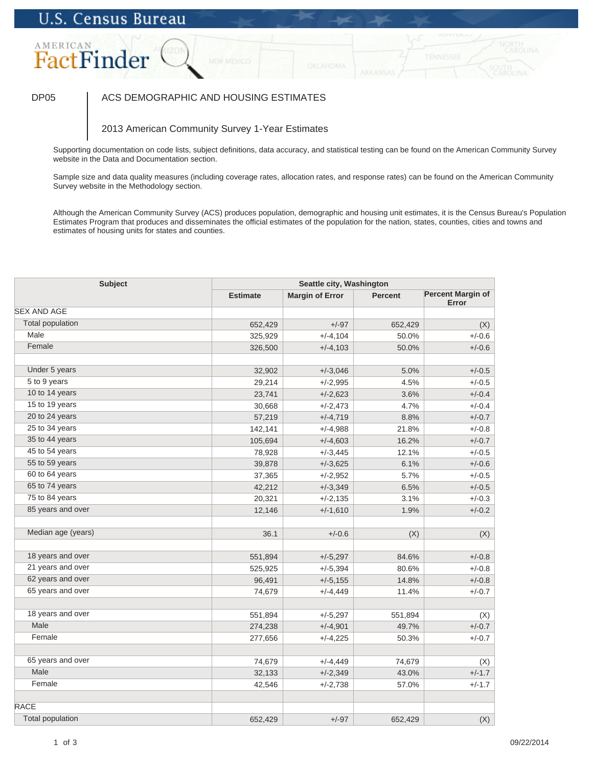## DP05 | ACS DEMOGRAPHIC AND HOUSING ESTIMATES

### 2013 American Community Survey 1-Year Estimates

Supporting documentation on code lists, subject definitions, data accuracy, and statistical testing can be found on the American Community Survey website in the Data and Documentation section.

Sample size and data quality measures (including coverage rates, allocation rates, and response rates) can be found on the American Community Survey website in the Methodology section.

| <b>Subject</b>          |                    | Seattle city, Washington |                  |                                   |  |
|-------------------------|--------------------|--------------------------|------------------|-----------------------------------|--|
|                         | <b>Estimate</b>    | <b>Margin of Error</b>   | <b>Percent</b>   | <b>Percent Margin of</b><br>Error |  |
| <b>SEX AND AGE</b>      |                    |                          |                  |                                   |  |
| <b>Total population</b> | 652,429            | $+/-97$                  | 652,429          | (X)                               |  |
| Male                    | 325,929            | $+/-4,104$               | 50.0%            | $+/-0.6$                          |  |
| Female                  | 326,500            | $+/-4,103$               | 50.0%            | $+/-0.6$                          |  |
|                         |                    |                          |                  |                                   |  |
| Under 5 years           | 32,902             | $+/-3,046$               | 5.0%             | $+/-0.5$                          |  |
| 5 to 9 years            | 29,214             | $+/-2,995$               | 4.5%             | $+/-0.5$                          |  |
| 10 to 14 years          | 23,741             | $+/-2,623$               | 3.6%             | $+/-0.4$                          |  |
| 15 to 19 years          | 30,668             | $+/-2,473$               | 4.7%             | $+/-0.4$                          |  |
| 20 to 24 years          | 57,219             | $+/-4,719$               | 8.8%             | $+/-0.7$                          |  |
| 25 to 34 years          | 142,141            | $+/-4,988$               | 21.8%            | $+/-0.8$                          |  |
| 35 to 44 years          | 105,694            | $+/-4,603$               | 16.2%            | $+/-0.7$                          |  |
| 45 to 54 years          | 78,928             | $+/-3,445$               | 12.1%            | $+/-0.5$                          |  |
| 55 to 59 years          | 39,878             | $+/-3,625$               | 6.1%             | $+/-0.6$                          |  |
| 60 to 64 years          | 37,365             | $+/-2,952$               | 5.7%             | $+/-0.5$                          |  |
| 65 to 74 years          | 42,212             | $+/-3,349$               | 6.5%             | $+/-0.5$                          |  |
| 75 to 84 years          | 20,321             | $+/-2,135$               | 3.1%             | $+/-0.3$                          |  |
| 85 years and over       | 12,146             | $+/-1,610$               | 1.9%             | $+/-0.2$                          |  |
| Median age (years)      | 36.1               | $+/-0.6$                 | (X)              | (X)                               |  |
| 18 years and over       | 551,894            | $+/-5,297$               | 84.6%            | $+/-0.8$                          |  |
| 21 years and over       | 525,925            | $+/-5,394$               | 80.6%            | $+/-0.8$                          |  |
| 62 years and over       | 96,491             | $+/-5,155$               | 14.8%            | $+/-0.8$                          |  |
| 65 years and over       | 74,679             | $+/-4,449$               | 11.4%            | $+/-0.7$                          |  |
| 18 years and over       |                    |                          |                  |                                   |  |
| Male                    | 551,894            | $+/-5,297$               | 551,894<br>49.7% | (X)<br>$+/-0.7$                   |  |
| Female                  | 274,238<br>277,656 | $+/-4,901$<br>$+/-4,225$ | 50.3%            | $+/-0.7$                          |  |
|                         |                    |                          |                  |                                   |  |
| 65 years and over       | 74,679             | $+/-4,449$               | 74,679           | (X)                               |  |
| Male                    | 32,133             | $+/-2,349$               | 43.0%            | $+/-1.7$                          |  |
| Female                  | 42,546             | $+/-2,738$               | 57.0%            | $+/-1.7$                          |  |
| <b>RACE</b>             |                    |                          |                  |                                   |  |
| <b>Total population</b> | 652,429            | $+/-97$                  | 652,429          | (X)                               |  |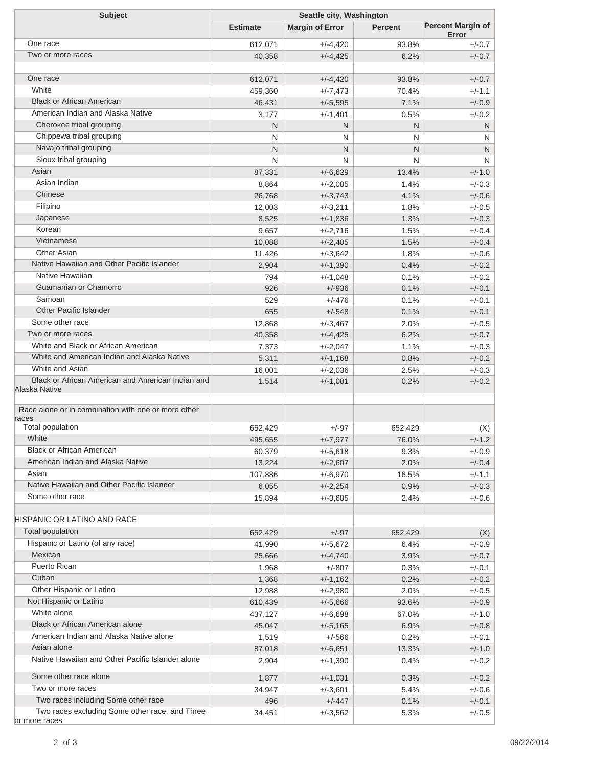| <b>Subject</b>                                                  | Seattle city, Washington |                          |                |                                   |  |
|-----------------------------------------------------------------|--------------------------|--------------------------|----------------|-----------------------------------|--|
|                                                                 | <b>Estimate</b>          | <b>Margin of Error</b>   | <b>Percent</b> | <b>Percent Margin of</b><br>Error |  |
| One race                                                        | 612,071                  | $+/-4,420$               | 93.8%          | $+/-0.7$                          |  |
| Two or more races                                               | 40,358                   | $+/-4,425$               | 6.2%           | $+/-0.7$                          |  |
|                                                                 |                          |                          |                |                                   |  |
| One race                                                        | 612,071                  | $+/-4,420$               | 93.8%          | $+/-0.7$                          |  |
| White                                                           | 459,360                  | $+/-7,473$               | 70.4%          | $+/-1.1$                          |  |
| <b>Black or African American</b>                                | 46,431                   | $+/-5,595$               | 7.1%           | $+/-0.9$                          |  |
| American Indian and Alaska Native                               | 3,177                    | $+/-1,401$               | 0.5%           | $+/-0.2$                          |  |
| Cherokee tribal grouping                                        | N                        | N                        | N              | N                                 |  |
| Chippewa tribal grouping                                        | N                        | N                        | N              | N                                 |  |
| Navajo tribal grouping                                          | N                        | N                        | N              | N                                 |  |
| Sioux tribal grouping                                           | N                        | N                        | N              | N                                 |  |
| Asian                                                           | 87,331                   | $+/-6,629$               | 13.4%          | $+/-1.0$                          |  |
| Asian Indian                                                    | 8,864                    | $+/-2,085$               | 1.4%           | $+/-0.3$                          |  |
| Chinese                                                         | 26,768                   | $+/-3,743$               | 4.1%           | $+/-0.6$                          |  |
| Filipino                                                        | 12,003                   | $+/-3,211$               | 1.8%           | $+/-0.5$                          |  |
| Japanese                                                        | 8,525                    | $+/-1,836$               | 1.3%           | $+/-0.3$                          |  |
| Korean                                                          | 9,657                    | $+/-2,716$               | 1.5%           | $+/-0.4$                          |  |
| Vietnamese                                                      | 10,088                   | $+/-2,405$               | 1.5%           | $+/-0.4$                          |  |
| Other Asian                                                     | 11,426                   | $+/-3,642$               | 1.8%           | $+/-0.6$                          |  |
| Native Hawaiian and Other Pacific Islander                      | 2,904                    | $+/-1,390$               | 0.4%           | $+/-0.2$                          |  |
| Native Hawaiian                                                 | 794                      | $+/-1,048$               | 0.1%           | $+/-0.2$                          |  |
| Guamanian or Chamorro                                           | 926                      | $+/-936$                 | 0.1%           | $+/-0.1$                          |  |
| Samoan                                                          | 529                      | $+/-476$                 | 0.1%           | $+/-0.1$                          |  |
| <b>Other Pacific Islander</b>                                   | 655                      | $+/-548$                 | 0.1%           | $+/-0.1$                          |  |
| Some other race                                                 | 12,868                   | $+/-3,467$               | 2.0%           | $+/-0.5$                          |  |
| Two or more races                                               | 40,358                   | $+/-4,425$               | 6.2%           | $+/-0.7$                          |  |
| White and Black or African American                             |                          | $+/-2,047$               | 1.1%           | $+/-0.3$                          |  |
| White and American Indian and Alaska Native                     | 7,373                    |                          |                | $+/-0.2$                          |  |
| White and Asian                                                 | 5,311                    | $+/-1,168$               | 0.8%           |                                   |  |
| Black or African American and American Indian and               | 16,001                   | $+/-2,036$               | 2.5%           | $+/-0.3$<br>$+/-0.2$              |  |
| Alaska Native                                                   | 1,514                    | $+/-1,081$               | 0.2%           |                                   |  |
| Race alone or in combination with one or more other             |                          |                          |                |                                   |  |
| races<br>Total population                                       | 652,429                  | $+/-97$                  | 652,429        |                                   |  |
| White                                                           | 495,655                  | $+/-7,977$               | 76.0%          | (X)<br>$+/-1.2$                   |  |
| <b>Black or African American</b>                                |                          |                          | 9.3%           | $+/-0.9$                          |  |
| American Indian and Alaska Native                               | 60,379<br>13,224         | $+/-5,618$<br>$+/-2,607$ | 2.0%           | $+/-0.4$                          |  |
| Asian                                                           |                          | $+/-6,970$               | 16.5%          | $+/-1.1$                          |  |
| Native Hawaiian and Other Pacific Islander                      | 107,886                  | $+/-2,254$               | 0.9%           | $+/-0.3$                          |  |
| Some other race                                                 | 6,055<br>15,894          |                          | 2.4%           | $+/-0.6$                          |  |
|                                                                 |                          | $+/-3,685$               |                |                                   |  |
| HISPANIC OR LATINO AND RACE                                     |                          |                          |                |                                   |  |
| Total population                                                | 652,429                  | $+/-97$                  | 652,429        | (X)                               |  |
| Hispanic or Latino (of any race)                                | 41,990                   | $+/-5,672$               | 6.4%           | $+/-0.9$                          |  |
| Mexican                                                         | 25,666                   | $+/-4,740$               | 3.9%           | $+/-0.7$                          |  |
| <b>Puerto Rican</b>                                             | 1,968                    | $+/-807$                 | 0.3%           | $+/-0.1$                          |  |
| Cuban                                                           | 1,368                    | $+/-1,162$               | 0.2%           | $+/-0.2$                          |  |
| Other Hispanic or Latino                                        | 12,988                   | $+/-2,980$               | 2.0%           | $+/-0.5$                          |  |
| Not Hispanic or Latino                                          | 610,439                  | $+/-5,666$               | 93.6%          | $+/-0.9$                          |  |
| White alone                                                     | 437,127                  | $+/-6,698$               | 67.0%          | $+/-1.0$                          |  |
| Black or African American alone                                 | 45,047                   | $+/-5,165$               | 6.9%           | $+/-0.8$                          |  |
| American Indian and Alaska Native alone                         | 1,519                    | $+/-566$                 | 0.2%           | $+/-0.1$                          |  |
| Asian alone                                                     | 87,018                   | $+/-6,651$               | 13.3%          | $+/-1.0$                          |  |
| Native Hawaiian and Other Pacific Islander alone                | 2,904                    | $+/-1,390$               | 0.4%           | $+/-0.2$                          |  |
| Some other race alone                                           | 1,877                    | $+/-1,031$               | 0.3%           | $+/-0.2$                          |  |
| Two or more races                                               | 34,947                   | $+/-3,601$               | 5.4%           | $+/-0.6$                          |  |
| Two races including Some other race                             | 496                      | $+/-447$                 | 0.1%           | $+/-0.1$                          |  |
| Two races excluding Some other race, and Three<br>Or more races | 34,451                   | $+/-3,562$               | 5.3%           | $+/-0.5$                          |  |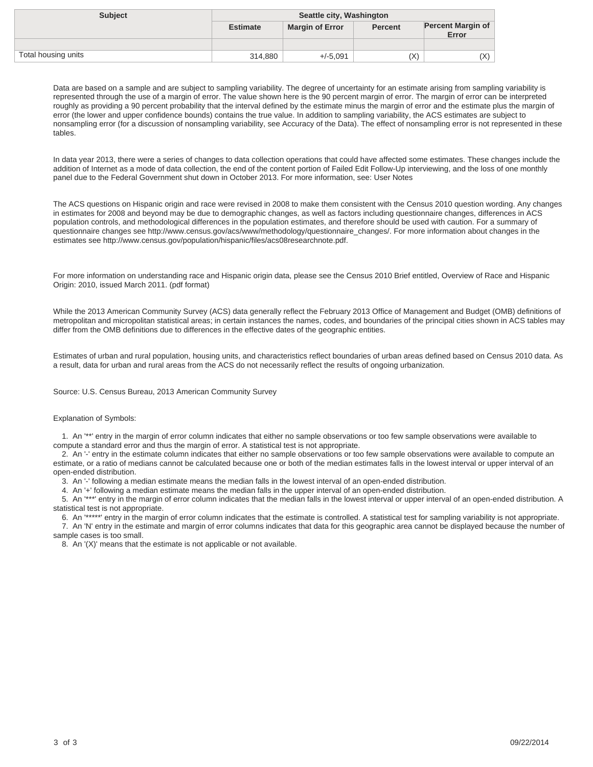| <b>Subject</b>      | Seattle city, Washington |                        |                |                                   |
|---------------------|--------------------------|------------------------|----------------|-----------------------------------|
|                     | <b>Estimate</b>          | <b>Margin of Error</b> | <b>Percent</b> | <b>Percent Margin of</b><br>Error |
|                     |                          |                        |                |                                   |
| Total housing units | 314,880                  | $+/-5.091$             | (X)            | (X)                               |

In data year 2013, there were a series of changes to data collection operations that could have affected some estimates. These changes include the addition of Internet as a mode of data collection, the end of the content portion of Failed Edit Follow-Up interviewing, and the loss of one monthly panel due to the Federal Government shut down in October 2013. For more information, see: User Notes

The ACS questions on Hispanic origin and race were revised in 2008 to make them consistent with the Census 2010 question wording. Any changes in estimates for 2008 and beyond may be due to demographic changes, as well as factors including questionnaire changes, differences in ACS population controls, and methodological differences in the population estimates, and therefore should be used with caution. For a summary of questionnaire changes see http://www.census.gov/acs/www/methodology/questionnaire\_changes/. For more information about changes in the estimates see http://www.census.gov/population/hispanic/files/acs08researchnote.pdf.

For more information on understanding race and Hispanic origin data, please see the Census 2010 Brief entitled, Overview of Race and Hispanic Origin: 2010, issued March 2011. (pdf format)

While the 2013 American Community Survey (ACS) data generally reflect the February 2013 Office of Management and Budget (OMB) definitions of metropolitan and micropolitan statistical areas; in certain instances the names, codes, and boundaries of the principal cities shown in ACS tables may differ from the OMB definitions due to differences in the effective dates of the geographic entities.

Estimates of urban and rural population, housing units, and characteristics reflect boundaries of urban areas defined based on Census 2010 data. As a result, data for urban and rural areas from the ACS do not necessarily reflect the results of ongoing urbanization.

Source: U.S. Census Bureau, 2013 American Community Survey

#### Explanation of Symbols:

 1. An '\*\*' entry in the margin of error column indicates that either no sample observations or too few sample observations were available to compute a standard error and thus the margin of error. A statistical test is not appropriate.

 2. An '-' entry in the estimate column indicates that either no sample observations or too few sample observations were available to compute an estimate, or a ratio of medians cannot be calculated because one or both of the median estimates falls in the lowest interval or upper interval of an open-ended distribution.

3. An '-' following a median estimate means the median falls in the lowest interval of an open-ended distribution.

4. An '+' following a median estimate means the median falls in the upper interval of an open-ended distribution.

 5. An '\*\*\*' entry in the margin of error column indicates that the median falls in the lowest interval or upper interval of an open-ended distribution. A statistical test is not appropriate.

 6. An '\*\*\*\*\*' entry in the margin of error column indicates that the estimate is controlled. A statistical test for sampling variability is not appropriate. 7. An 'N' entry in the estimate and margin of error columns indicates that data for this geographic area cannot be displayed because the number of sample cases is too small.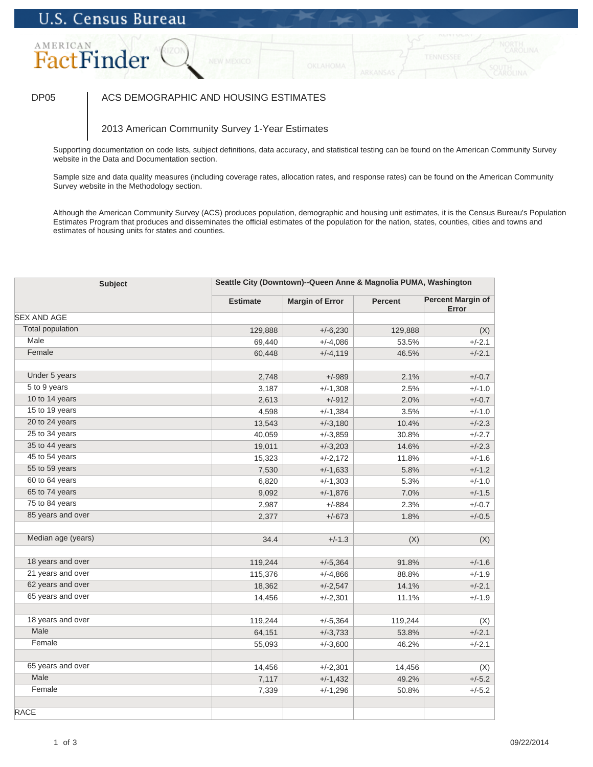### DP05 | ACS DEMOGRAPHIC AND HOUSING ESTIMATES

### 2013 American Community Survey 1-Year Estimates

Supporting documentation on code lists, subject definitions, data accuracy, and statistical testing can be found on the American Community Survey website in the Data and Documentation section.

Sample size and data quality measures (including coverage rates, allocation rates, and response rates) can be found on the American Community Survey website in the Methodology section.

| <b>Subject</b>          |                 | Seattle City (Downtown)--Queen Anne & Magnolia PUMA, Washington |                |                                   |  |
|-------------------------|-----------------|-----------------------------------------------------------------|----------------|-----------------------------------|--|
|                         | <b>Estimate</b> | <b>Margin of Error</b>                                          | <b>Percent</b> | <b>Percent Margin of</b><br>Error |  |
| <b>SEX AND AGE</b>      |                 |                                                                 |                |                                   |  |
| <b>Total population</b> | 129,888         | $+/-6,230$                                                      | 129,888        | (X)                               |  |
| Male                    | 69,440          | $+/-4,086$                                                      | 53.5%          | $+/-2.1$                          |  |
| Female                  | 60,448          | $+/-4,119$                                                      | 46.5%          | $+/-2.1$                          |  |
| Under 5 years           | 2,748           | $+/-989$                                                        | 2.1%           | $+/-0.7$                          |  |
| 5 to 9 years            | 3,187           | $+/-1,308$                                                      | 2.5%           | $+/-1.0$                          |  |
| 10 to 14 years          | 2,613           | $+/-912$                                                        | 2.0%           | $+/-0.7$                          |  |
| 15 to 19 years          | 4,598           | $+/-1,384$                                                      | 3.5%           | $+/-1.0$                          |  |
| 20 to 24 years          | 13,543          | $+/-3,180$                                                      | 10.4%          | $+/-2.3$                          |  |
| 25 to 34 years          | 40,059          | $+/-3,859$                                                      | 30.8%          | $+/-2.7$                          |  |
| 35 to 44 years          | 19,011          | $+/-3,203$                                                      | 14.6%          | $+/-2.3$                          |  |
| $45$ to $54$ years      | 15,323          | $+/-2,172$                                                      | 11.8%          | $+/-1.6$                          |  |
| 55 to 59 years          | 7,530           | $+/-1,633$                                                      | 5.8%           | $+/-1.2$                          |  |
| 60 to 64 years          | 6,820           | $+/-1,303$                                                      | 5.3%           | $+/-1.0$                          |  |
| 65 to 74 years          | 9,092           | $+/-1,876$                                                      | 7.0%           | $+/-1.5$                          |  |
| 75 to 84 years          | 2,987           | $+/-884$                                                        | 2.3%           | $+/-0.7$                          |  |
| 85 years and over       | 2,377           | $+/-673$                                                        | 1.8%           | $+/-0.5$                          |  |
| Median age (years)      | 34.4            | $+/-1.3$                                                        | (X)            | (X)                               |  |
| 18 years and over       | 119,244         | $+/-5,364$                                                      | 91.8%          | $+/-1.6$                          |  |
| 21 years and over       | 115,376         | $+/-4,866$                                                      | 88.8%          | $+/-1.9$                          |  |
| 62 years and over       | 18,362          | $+/-2,547$                                                      | 14.1%          | $+/-2.1$                          |  |
| 65 years and over       | 14,456          | $+/-2,301$                                                      | 11.1%          | $+/-1.9$                          |  |
|                         |                 |                                                                 |                |                                   |  |
| 18 years and over       | 119,244         | $+/-5,364$                                                      | 119,244        | (X)                               |  |
| Male                    | 64,151          | $+/-3,733$                                                      | 53.8%          | $+/-2.1$                          |  |
| Female                  | 55,093          | $+/-3,600$                                                      | 46.2%          | $+/-2.1$                          |  |
| 65 years and over       | 14,456          | $+/-2,301$                                                      | 14,456         | (X)                               |  |
| Male                    | 7,117           | $+/-1,432$                                                      | 49.2%          | $+/-5.2$                          |  |
| Female                  | 7,339           | $+/-1,296$                                                      | 50.8%          | $+/-5.2$                          |  |
| <b>RACE</b>             |                 |                                                                 |                |                                   |  |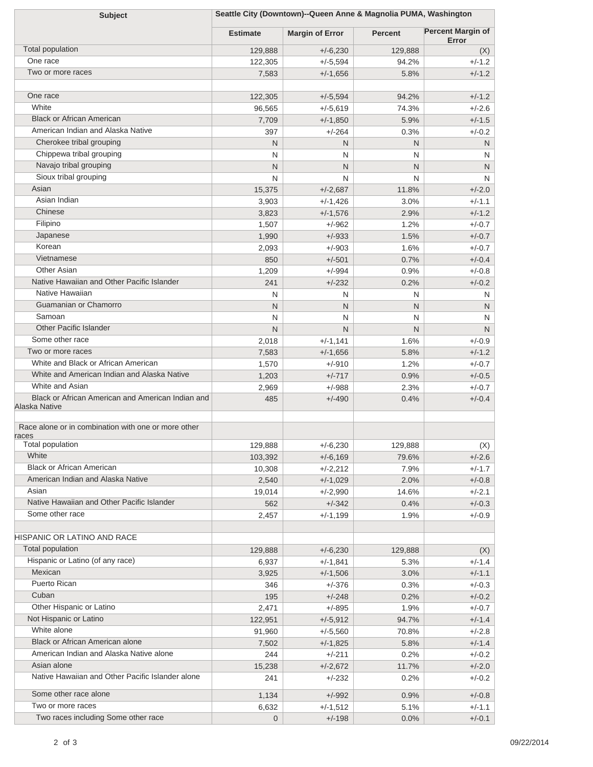| Seattle City (Downtown)--Queen Anne & Magnolia PUMA, Washington<br><b>Subject</b> |                 |                        |                |                                   |
|-----------------------------------------------------------------------------------|-----------------|------------------------|----------------|-----------------------------------|
|                                                                                   | <b>Estimate</b> | <b>Margin of Error</b> | <b>Percent</b> | <b>Percent Margin of</b><br>Error |
| Total population                                                                  | 129,888         | $+/-6,230$             | 129,888        | (X)                               |
| One race                                                                          | 122,305         | $+/-5,594$             | 94.2%          | $+/-1.2$                          |
| Two or more races                                                                 | 7,583           | $+/-1,656$             | 5.8%           | $+/-1.2$                          |
| One race                                                                          |                 |                        |                |                                   |
| White                                                                             | 122,305         | $+/-5,594$             | 94.2%          | $+/-1.2$                          |
| <b>Black or African American</b>                                                  | 96,565          | $+/-5,619$             | 74.3%          | $+/-2.6$                          |
| American Indian and Alaska Native                                                 | 7,709           | $+/-1,850$             | 5.9%           | $+/-1.5$                          |
| Cherokee tribal grouping                                                          | 397             | $+/-264$               | 0.3%           | $+/-0.2$                          |
| Chippewa tribal grouping                                                          | N               | N                      | N              | ${\sf N}$                         |
| Navajo tribal grouping                                                            | N               | N                      | N              | N                                 |
| Sioux tribal grouping                                                             | N               | N                      | N              | N                                 |
| Asian                                                                             | N               | N                      | N              | N                                 |
| Asian Indian                                                                      | 15,375          | $+/-2,687$             | 11.8%          | $+/-2.0$                          |
| Chinese                                                                           | 3,903           | +/-1,426               | 3.0%           | $+/-1.1$                          |
| Filipino                                                                          | 3,823           | $+/-1,576$             | 2.9%           | $+/-1.2$                          |
|                                                                                   | 1,507           | $+/-962$               | 1.2%           | $+/-0.7$                          |
| Japanese                                                                          | 1,990           | $+/-933$               | 1.5%           | $+/-0.7$                          |
| Korean<br>Vietnamese                                                              | 2,093           | $+/-903$               | 1.6%           | $+/-0.7$                          |
| Other Asian                                                                       | 850             | $+/-501$               | 0.7%           | $+/-0.4$                          |
|                                                                                   | 1,209           | $+/-994$               | 0.9%           | $+/-0.8$                          |
| Native Hawaiian and Other Pacific Islander<br>Native Hawaiian                     | 241             | $+/-232$               | 0.2%           | $+/-0.2$                          |
|                                                                                   | N               | N                      | N              | N                                 |
| Guamanian or Chamorro                                                             | N               | N                      | N              | N                                 |
| Samoan                                                                            | N               | N                      | N              | N                                 |
| <b>Other Pacific Islander</b>                                                     | $\mathsf{N}$    | N                      | N              | N                                 |
| Some other race                                                                   | 2,018           | $+/-1,141$             | 1.6%           | $+/-0.9$                          |
| Two or more races                                                                 | 7,583           | $+/-1,656$             | 5.8%           | $+/-1.2$                          |
| White and Black or African American                                               | 1,570           | $+/-910$               | 1.2%           | $+/-0.7$                          |
| White and American Indian and Alaska Native<br>White and Asian                    | 1,203           | $+/-717$               | 0.9%           | $+/-0.5$                          |
|                                                                                   | 2,969           | $+/-988$               | 2.3%           | $+/-0.7$                          |
| Black or African American and American Indian and<br>Alaska Native                | 485             | $+/-490$               | 0.4%           | $+/-0.4$                          |
| Race alone or in combination with one or more other<br>races                      |                 |                        |                |                                   |
| <b>Total population</b>                                                           | 129,888         | +/-6,230               | 129,888        | (X)                               |
| White                                                                             | 103,392         | $+/-6,169$             | 79.6%          | $+/-2.6$                          |
| <b>Black or African American</b>                                                  | 10,308          | +/-2,212               | 7.9%           | $+/-1.7$                          |
| American Indian and Alaska Native                                                 | 2,540           | $+/-1,029$             | 2.0%           | $+/-0.8$                          |
| Asian                                                                             | 19,014          | +/-2,990               | 14.6%          | $+/-2.1$                          |
| Native Hawaiian and Other Pacific Islander                                        | 562             | $+/-342$               | 0.4%           | $+/-0.3$                          |
| Some other race                                                                   | 2,457           | $+/-1,199$             | 1.9%           | $+/-0.9$                          |
| HISPANIC OR LATINO AND RACE                                                       |                 |                        |                |                                   |
| Total population                                                                  | 129,888         | $+/-6,230$             | 129,888        | (X)                               |
| Hispanic or Latino (of any race)                                                  | 6,937           | +/-1,841               | 5.3%           | $+/-1.4$                          |
| Mexican                                                                           | 3,925           | $+/-1,506$             | 3.0%           | $+/-1.1$                          |
| Puerto Rican                                                                      | 346             | $+/-376$               | 0.3%           | $+/-0.3$                          |
| Cuban                                                                             | 195             | $+/-248$               | 0.2%           | $+/-0.2$                          |
| Other Hispanic or Latino                                                          | 2,471           | $+/-895$               | 1.9%           | $+/-0.7$                          |
| Not Hispanic or Latino                                                            | 122,951         | $+/-5,912$             | 94.7%          | $+/-1.4$                          |
| White alone                                                                       | 91,960          | $+/-5,560$             | 70.8%          | $+/-2.8$                          |
| Black or African American alone                                                   | 7,502           | $+/-1,825$             | 5.8%           | $+/-1.4$                          |
| American Indian and Alaska Native alone                                           | 244             | $+/-211$               | 0.2%           | $+/-0.2$                          |
| Asian alone                                                                       | 15,238          | $+/-2,672$             | 11.7%          | $+/-2.0$                          |
| Native Hawaiian and Other Pacific Islander alone                                  | 241             | $+/-232$               | 0.2%           | $+/-0.2$                          |
| Some other race alone                                                             | 1,134           | $+/-992$               | 0.9%           | $+/-0.8$                          |
| Two or more races                                                                 | 6,632           | $+/-1,512$             | 5.1%           | $+/-1.1$                          |
| Two races including Some other race                                               | $\mathbf{0}$    | $+/-198$               | 0.0%           | $+/-0.1$                          |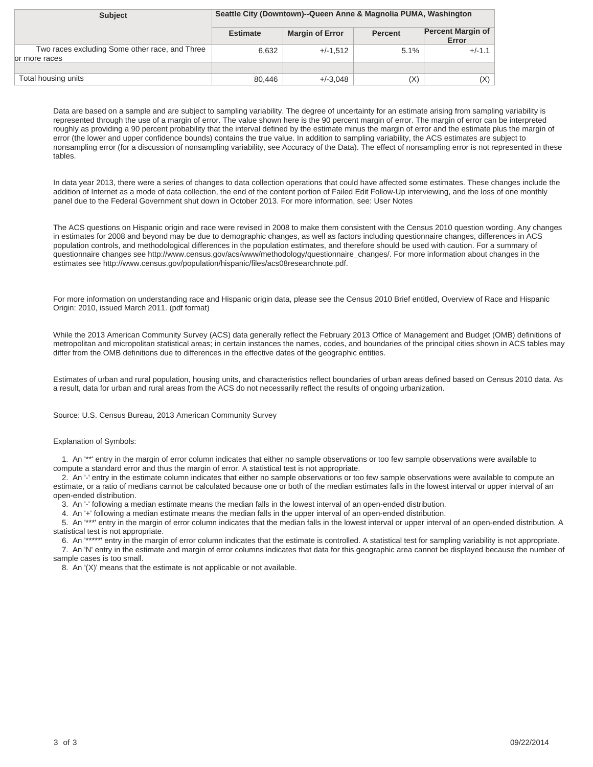| <b>Subject</b>                                                   | Seattle City (Downtown)--Queen Anne & Magnolia PUMA, Washington |                        |                |                                   |
|------------------------------------------------------------------|-----------------------------------------------------------------|------------------------|----------------|-----------------------------------|
|                                                                  | <b>Estimate</b>                                                 | <b>Margin of Error</b> | <b>Percent</b> | <b>Percent Margin of</b><br>Error |
| Two races excluding Some other race, and Three<br>lor more races | 6.632                                                           | $+/-1.512$             | 5.1%           | $+/-1.1$                          |
|                                                                  |                                                                 |                        |                |                                   |
| Total housing units                                              | 80.446                                                          | $+/-3.048$             | (X)            | $(\mathsf{X})$                    |

In data year 2013, there were a series of changes to data collection operations that could have affected some estimates. These changes include the addition of Internet as a mode of data collection, the end of the content portion of Failed Edit Follow-Up interviewing, and the loss of one monthly panel due to the Federal Government shut down in October 2013. For more information, see: User Notes

The ACS questions on Hispanic origin and race were revised in 2008 to make them consistent with the Census 2010 question wording. Any changes in estimates for 2008 and beyond may be due to demographic changes, as well as factors including questionnaire changes, differences in ACS population controls, and methodological differences in the population estimates, and therefore should be used with caution. For a summary of questionnaire changes see http://www.census.gov/acs/www/methodology/questionnaire\_changes/. For more information about changes in the estimates see http://www.census.gov/population/hispanic/files/acs08researchnote.pdf.

For more information on understanding race and Hispanic origin data, please see the Census 2010 Brief entitled, Overview of Race and Hispanic Origin: 2010, issued March 2011. (pdf format)

While the 2013 American Community Survey (ACS) data generally reflect the February 2013 Office of Management and Budget (OMB) definitions of metropolitan and micropolitan statistical areas; in certain instances the names, codes, and boundaries of the principal cities shown in ACS tables may differ from the OMB definitions due to differences in the effective dates of the geographic entities.

Estimates of urban and rural population, housing units, and characteristics reflect boundaries of urban areas defined based on Census 2010 data. As a result, data for urban and rural areas from the ACS do not necessarily reflect the results of ongoing urbanization.

Source: U.S. Census Bureau, 2013 American Community Survey

#### Explanation of Symbols:

 1. An '\*\*' entry in the margin of error column indicates that either no sample observations or too few sample observations were available to compute a standard error and thus the margin of error. A statistical test is not appropriate.

 2. An '-' entry in the estimate column indicates that either no sample observations or too few sample observations were available to compute an estimate, or a ratio of medians cannot be calculated because one or both of the median estimates falls in the lowest interval or upper interval of an open-ended distribution.

3. An '-' following a median estimate means the median falls in the lowest interval of an open-ended distribution.

4. An '+' following a median estimate means the median falls in the upper interval of an open-ended distribution.

 5. An '\*\*\*' entry in the margin of error column indicates that the median falls in the lowest interval or upper interval of an open-ended distribution. A statistical test is not appropriate.

 6. An '\*\*\*\*\*' entry in the margin of error column indicates that the estimate is controlled. A statistical test for sampling variability is not appropriate. 7. An 'N' entry in the estimate and margin of error columns indicates that data for this geographic area cannot be displayed because the number of sample cases is too small.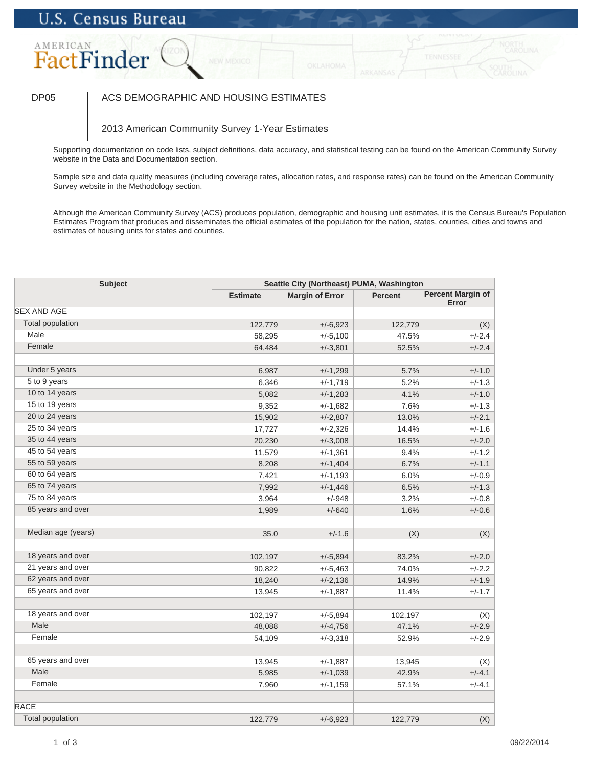### DP05 | ACS DEMOGRAPHIC AND HOUSING ESTIMATES

### 2013 American Community Survey 1-Year Estimates

Supporting documentation on code lists, subject definitions, data accuracy, and statistical testing can be found on the American Community Survey website in the Data and Documentation section.

Sample size and data quality measures (including coverage rates, allocation rates, and response rates) can be found on the American Community Survey website in the Methodology section.

| <b>Subject</b>          |                 | Seattle City (Northeast) PUMA, Washington |                |                            |  |
|-------------------------|-----------------|-------------------------------------------|----------------|----------------------------|--|
|                         | <b>Estimate</b> | <b>Margin of Error</b>                    | <b>Percent</b> | Percent Margin of<br>Error |  |
| <b>SEX AND AGE</b>      |                 |                                           |                |                            |  |
| <b>Total population</b> | 122,779         | $+/-6,923$                                | 122,779        | (X)                        |  |
| Male                    | 58,295          | $+/-5,100$                                | 47.5%          | $+/-2.4$                   |  |
| Female                  | 64,484          | $+/-3,801$                                | 52.5%          | $+/-2.4$                   |  |
| Under 5 years           | 6,987           | $+/-1,299$                                | 5.7%           | $+/-1.0$                   |  |
| 5 to 9 years            | 6,346           | $+/-1,719$                                | 5.2%           | $+/-1.3$                   |  |
| 10 to 14 years          | 5,082           | $+/-1,283$                                | 4.1%           | $+/-1.0$                   |  |
| 15 to 19 years          | 9,352           | $+/-1,682$                                | 7.6%           | $+/-1.3$                   |  |
| 20 to 24 years          | 15,902          | $+/-2,807$                                | 13.0%          | $+/-2.1$                   |  |
| 25 to 34 years          | 17,727          | $+/-2,326$                                | 14.4%          | $+/-1.6$                   |  |
| 35 to 44 years          | 20,230          | $+/-3,008$                                | 16.5%          | $+/-2.0$                   |  |
| 45 to 54 years          | 11,579          | $+/-1,361$                                | 9.4%           | $+/-1.2$                   |  |
| 55 to 59 years          | 8,208           | $+/-1,404$                                | 6.7%           | $+/-1.1$                   |  |
| 60 to 64 years          | 7,421           | $+/-1,193$                                | 6.0%           | $+/-0.9$                   |  |
| 65 to 74 years          | 7,992           | $+/-1,446$                                | 6.5%           | $+/-1.3$                   |  |
| 75 to 84 years          | 3,964           | $+/-948$                                  | 3.2%           | $+/-0.8$                   |  |
| 85 years and over       | 1,989           | $+/-640$                                  | 1.6%           | $+/-0.6$                   |  |
| Median age (years)      | 35.0            | $+/-1.6$                                  | (X)            | (X)                        |  |
| 18 years and over       | 102,197         | $+/-5,894$                                | 83.2%          | $+/-2.0$                   |  |
| 21 years and over       | 90,822          | $+/-5,463$                                | 74.0%          | $+/-2.2$                   |  |
| 62 years and over       | 18,240          | $+/-2,136$                                | 14.9%          | $+/-1.9$                   |  |
| 65 years and over       | 13,945          | $+/-1,887$                                | 11.4%          | $+/-1.7$                   |  |
| 18 years and over       | 102,197         | $+/-5,894$                                | 102,197        | (X)                        |  |
| Male                    | 48,088          | $+/-4,756$                                | 47.1%          | $+/-2.9$                   |  |
| Female                  | 54,109          | $+/-3,318$                                | 52.9%          | $+/-2.9$                   |  |
|                         |                 |                                           |                |                            |  |
| 65 years and over       | 13,945          | $+/-1,887$                                | 13,945         | (X)                        |  |
| Male                    | 5,985           | $+/-1,039$                                | 42.9%          | $+/-4.1$                   |  |
| Female                  | 7,960           | $+/-1,159$                                | 57.1%          | $+/-4.1$                   |  |
| <b>RACE</b>             |                 |                                           |                |                            |  |
| <b>Total population</b> | 122,779         | $+/-6,923$                                | 122,779        | (X)                        |  |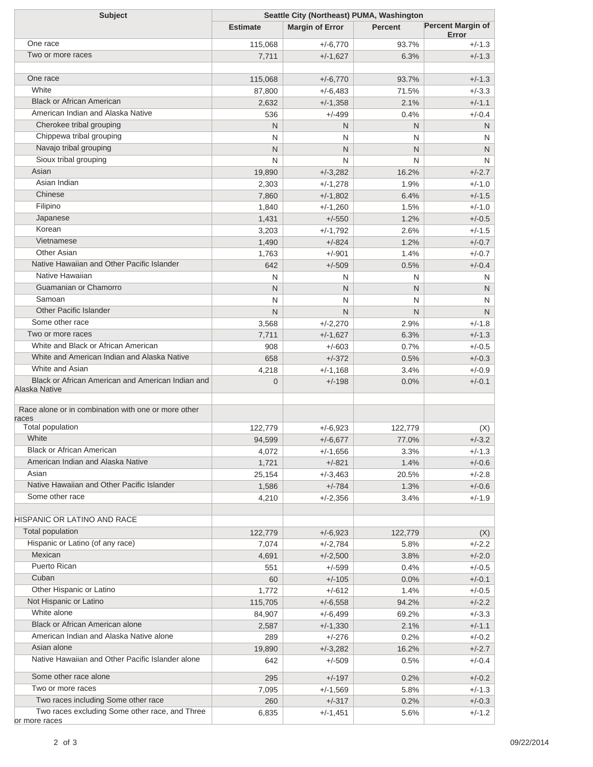| <b>Subject</b>                                      | Seattle City (Northeast) PUMA, Washington |                        |                |                                   |  |
|-----------------------------------------------------|-------------------------------------------|------------------------|----------------|-----------------------------------|--|
|                                                     | <b>Estimate</b>                           | <b>Margin of Error</b> | <b>Percent</b> | <b>Percent Margin of</b><br>Error |  |
| One race                                            | 115,068                                   | $+/-6,770$             | 93.7%          | $+/-1.3$                          |  |
| Two or more races                                   | 7,711                                     | $+/-1,627$             | 6.3%           | $+/-1.3$                          |  |
|                                                     |                                           |                        |                |                                   |  |
| One race                                            | 115,068                                   | $+/-6,770$             | 93.7%          | $+/-1.3$                          |  |
| White                                               | 87,800                                    | $+/-6,483$             | 71.5%          | $+/-3.3$                          |  |
| <b>Black or African American</b>                    | 2,632                                     | $+/-1,358$             | 2.1%           | $+/-1.1$                          |  |
| American Indian and Alaska Native                   | 536                                       | $+/-499$               | 0.4%           | $+/-0.4$                          |  |
| Cherokee tribal grouping                            | N                                         | N                      | N              | N                                 |  |
| Chippewa tribal grouping                            | N                                         | N                      | N              | N                                 |  |
| Navajo tribal grouping                              | N                                         | N                      | N              | N                                 |  |
| Sioux tribal grouping                               | N                                         | N                      | N              | N                                 |  |
| Asian                                               | 19,890                                    | $+/-3,282$             | 16.2%          | $+/-2.7$                          |  |
| Asian Indian                                        | 2,303                                     | $+/-1,278$             | 1.9%           | $+/-1.0$                          |  |
| Chinese                                             | 7,860                                     | $+/-1,802$             | 6.4%           | $+/-1.5$                          |  |
| Filipino                                            | 1,840                                     | $+/-1,260$             | 1.5%           | $+/-1.0$                          |  |
| Japanese                                            | 1,431                                     | $+/-550$               | 1.2%           | $+/-0.5$                          |  |
| Korean                                              | 3,203                                     | $+/-1,792$             | 2.6%           | $+/-1.5$                          |  |
| Vietnamese                                          | 1,490                                     | $+/-824$               | 1.2%           | $+/-0.7$                          |  |
| <b>Other Asian</b>                                  | 1,763                                     | $+/-901$               | 1.4%           | $+/-0.7$                          |  |
| Native Hawaiian and Other Pacific Islander          | 642                                       | $+/-509$               | 0.5%           | $+/-0.4$                          |  |
| Native Hawaiian                                     | N                                         | N                      | N              | N                                 |  |
| Guamanian or Chamorro                               | N                                         | N                      | N              | N                                 |  |
| Samoan                                              | N                                         | N                      | N              | N                                 |  |
| <b>Other Pacific Islander</b>                       | N                                         | N                      | N              | N                                 |  |
| Some other race                                     | 3,568                                     | $+/-2,270$             | 2.9%           | $+/-1.8$                          |  |
| Two or more races                                   | 7,711                                     | $+/-1,627$             | 6.3%           | $+/-1.3$                          |  |
| White and Black or African American                 | 908                                       | $+/-603$               | 0.7%           | $+/-0.5$                          |  |
| White and American Indian and Alaska Native         | 658                                       | $+/-372$               | 0.5%           | $+/-0.3$                          |  |
| White and Asian                                     |                                           |                        |                |                                   |  |
| Black or African American and American Indian and   | 4,218                                     | $+/-1,168$             | 3.4%           | $+/-0.9$<br>$+/-0.1$              |  |
| Alaska Native                                       | $\overline{0}$                            | $+/-198$               | 0.0%           |                                   |  |
| Race alone or in combination with one or more other |                                           |                        |                |                                   |  |
| races                                               |                                           |                        |                |                                   |  |
| Total population                                    | 122,779                                   | $+/-6,923$             | 122,779        | (X)                               |  |
| White                                               | 94,599                                    | $+/-6,677$             | 77.0%          | $+/-3.2$                          |  |
| <b>Black or African American</b>                    | 4,072                                     | $+/-1,656$             | 3.3%           | $+/-1.3$                          |  |
| American Indian and Alaska Native                   | 1,721                                     | $+/-821$               | 1.4%           | $+/-0.6$                          |  |
| Asian                                               | 25,154                                    | $+/-3,463$             | 20.5%          | $+/-2.8$                          |  |
| Native Hawaiian and Other Pacific Islander          | 1,586                                     | $+/-784$               | 1.3%           | $+/-0.6$                          |  |
| Some other race                                     | 4,210                                     | $+/-2,356$             | 3.4%           | $+/-1.9$                          |  |
| HISPANIC OR LATINO AND RACE                         |                                           |                        |                |                                   |  |
| Total population                                    | 122,779                                   | $+/-6,923$             | 122,779        | (X)                               |  |
| Hispanic or Latino (of any race)                    | 7,074                                     | $+/-2,784$             | 5.8%           | $+/-2.2$                          |  |
| Mexican                                             | 4,691                                     | $+/-2,500$             | 3.8%           | $+/-2.0$                          |  |
| Puerto Rican                                        | 551                                       | $+/-599$               | 0.4%           | $+/-0.5$                          |  |
| Cuban                                               | 60                                        | $+/-105$               | 0.0%           | $+/-0.1$                          |  |
| Other Hispanic or Latino                            | 1,772                                     | $+/-612$               | 1.4%           | $+/-0.5$                          |  |
| Not Hispanic or Latino                              | 115,705                                   | $+/-6,558$             | 94.2%          | $+/-2.2$                          |  |
| White alone                                         | 84,907                                    | $+/-6,499$             | 69.2%          | $+/-3.3$                          |  |
| Black or African American alone                     | 2,587                                     | $+/-1,330$             | 2.1%           | $+/-1.1$                          |  |
| American Indian and Alaska Native alone             | 289                                       | $+/-276$               | 0.2%           | $+/-0.2$                          |  |
| Asian alone                                         | 19,890                                    | $+/-3,282$             | 16.2%          | $+/-2.7$                          |  |
| Native Hawaiian and Other Pacific Islander alone    | 642                                       | $+/-509$               | 0.5%           | $+/-0.4$                          |  |
| Some other race alone                               | 295                                       | $+/-197$               | 0.2%           | $+/-0.2$                          |  |
| Two or more races                                   | 7,095                                     | $+/-1,569$             | 5.8%           | $+/-1.3$                          |  |
| Two races including Some other race                 | 260                                       | $+/-317$               | 0.2%           | $+/-0.3$                          |  |
| Two races excluding Some other race, and Three      | 6,835                                     | $+/-1,451$             | 5.6%           | $+/-1.2$                          |  |
| or more races                                       |                                           |                        |                |                                   |  |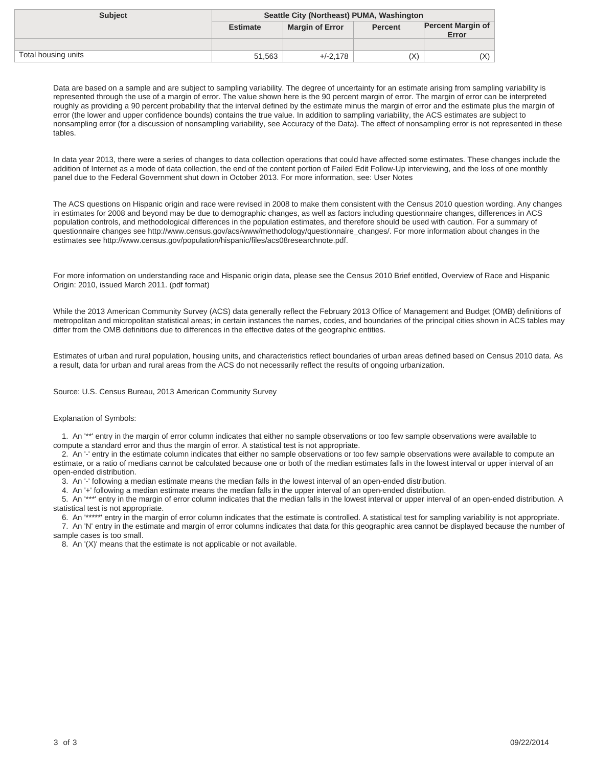| <b>Subject</b>      | Seattle City (Northeast) PUMA, Washington |                        |                |                                   |
|---------------------|-------------------------------------------|------------------------|----------------|-----------------------------------|
|                     | <b>Estimate</b>                           | <b>Margin of Error</b> | <b>Percent</b> | <b>Percent Margin of</b><br>Error |
|                     |                                           |                        |                |                                   |
| Total housing units | 51,563                                    | $+/-2.178$             | (X)            | X)                                |

In data year 2013, there were a series of changes to data collection operations that could have affected some estimates. These changes include the addition of Internet as a mode of data collection, the end of the content portion of Failed Edit Follow-Up interviewing, and the loss of one monthly panel due to the Federal Government shut down in October 2013. For more information, see: User Notes

The ACS questions on Hispanic origin and race were revised in 2008 to make them consistent with the Census 2010 question wording. Any changes in estimates for 2008 and beyond may be due to demographic changes, as well as factors including questionnaire changes, differences in ACS population controls, and methodological differences in the population estimates, and therefore should be used with caution. For a summary of questionnaire changes see http://www.census.gov/acs/www/methodology/questionnaire\_changes/. For more information about changes in the estimates see http://www.census.gov/population/hispanic/files/acs08researchnote.pdf.

For more information on understanding race and Hispanic origin data, please see the Census 2010 Brief entitled, Overview of Race and Hispanic Origin: 2010, issued March 2011. (pdf format)

While the 2013 American Community Survey (ACS) data generally reflect the February 2013 Office of Management and Budget (OMB) definitions of metropolitan and micropolitan statistical areas; in certain instances the names, codes, and boundaries of the principal cities shown in ACS tables may differ from the OMB definitions due to differences in the effective dates of the geographic entities.

Estimates of urban and rural population, housing units, and characteristics reflect boundaries of urban areas defined based on Census 2010 data. As a result, data for urban and rural areas from the ACS do not necessarily reflect the results of ongoing urbanization.

Source: U.S. Census Bureau, 2013 American Community Survey

#### Explanation of Symbols:

 1. An '\*\*' entry in the margin of error column indicates that either no sample observations or too few sample observations were available to compute a standard error and thus the margin of error. A statistical test is not appropriate.

 2. An '-' entry in the estimate column indicates that either no sample observations or too few sample observations were available to compute an estimate, or a ratio of medians cannot be calculated because one or both of the median estimates falls in the lowest interval or upper interval of an open-ended distribution.

3. An '-' following a median estimate means the median falls in the lowest interval of an open-ended distribution.

4. An '+' following a median estimate means the median falls in the upper interval of an open-ended distribution.

 5. An '\*\*\*' entry in the margin of error column indicates that the median falls in the lowest interval or upper interval of an open-ended distribution. A statistical test is not appropriate.

 6. An '\*\*\*\*\*' entry in the margin of error column indicates that the estimate is controlled. A statistical test for sampling variability is not appropriate. 7. An 'N' entry in the estimate and margin of error columns indicates that data for this geographic area cannot be displayed because the number of sample cases is too small.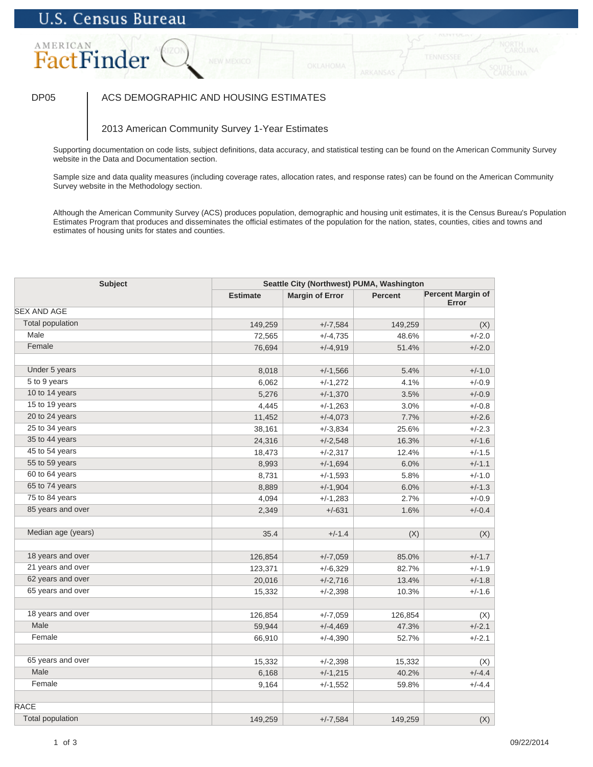### DP05 | ACS DEMOGRAPHIC AND HOUSING ESTIMATES

### 2013 American Community Survey 1-Year Estimates

Supporting documentation on code lists, subject definitions, data accuracy, and statistical testing can be found on the American Community Survey website in the Data and Documentation section.

Sample size and data quality measures (including coverage rates, allocation rates, and response rates) can be found on the American Community Survey website in the Methodology section.

| <b>Subject</b>          | Seattle City (Northwest) PUMA, Washington |                        |                |                                   |
|-------------------------|-------------------------------------------|------------------------|----------------|-----------------------------------|
|                         | <b>Estimate</b>                           | <b>Margin of Error</b> | <b>Percent</b> | <b>Percent Margin of</b><br>Error |
| <b>SEX AND AGE</b>      |                                           |                        |                |                                   |
| <b>Total population</b> | 149,259                                   | $+/-7,584$             | 149,259        | (X)                               |
| Male                    | 72,565                                    | $+/-4,735$             | 48.6%          | $+/-2.0$                          |
| Female                  | 76,694                                    | $+/-4,919$             | 51.4%          | $+/-2.0$                          |
|                         |                                           |                        |                |                                   |
| Under 5 years           | 8,018                                     | $+/-1,566$             | 5.4%           | $+/-1.0$                          |
| 5 to 9 years            | 6,062                                     | $+/-1,272$             | 4.1%           | $+/-0.9$                          |
| 10 to 14 years          | 5,276                                     | $+/-1,370$             | 3.5%           | $+/-0.9$                          |
| 15 to 19 years          | 4,445                                     | $+/-1,263$             | 3.0%           | $+/-0.8$                          |
| 20 to 24 years          | 11,452                                    | $+/-4,073$             | 7.7%           | $+/-2.6$                          |
| 25 to 34 years          | 38,161                                    | $+/-3,834$             | 25.6%          | $+/-2.3$                          |
| 35 to 44 years          | 24,316                                    | $+/-2,548$             | 16.3%          | $+/-1.6$                          |
| 45 to 54 years          | 18,473                                    | $+/-2,317$             | 12.4%          | $+/-1.5$                          |
| 55 to 59 years          | 8,993                                     | $+/-1,694$             | 6.0%           | $+/-1.1$                          |
| 60 to 64 years          | 8,731                                     | $+/-1,593$             | 5.8%           | $+/-1.0$                          |
| 65 to 74 years          | 8,889                                     | $+/-1,904$             | 6.0%           | $+/-1.3$                          |
| 75 to 84 years          | 4,094                                     | $+/-1,283$             | 2.7%           | $+/-0.9$                          |
| 85 years and over       | 2,349                                     | $+/-631$               | 1.6%           | $+/-0.4$                          |
| Median age (years)      | 35.4                                      | $+/-1.4$               | (X)            | (X)                               |
| 18 years and over       | 126,854                                   | $+/-7,059$             | 85.0%          | $+/-1.7$                          |
| 21 years and over       | 123,371                                   | $+/-6,329$             | 82.7%          | $+/-1.9$                          |
| 62 years and over       | 20,016                                    | $+/-2,716$             | 13.4%          | $+/-1.8$                          |
| 65 years and over       | 15,332                                    | $+/-2,398$             | 10.3%          | $+/-1.6$                          |
| 18 years and over       | 126,854                                   | $+/-7,059$             | 126,854        | (X)                               |
| Male                    | 59,944                                    | $+/-4,469$             | 47.3%          | $+/-2.1$                          |
| Female                  | 66,910                                    | $+/-4,390$             | 52.7%          | $+/-2.1$                          |
|                         |                                           |                        |                |                                   |
| 65 years and over       | 15,332                                    | $+/-2,398$             | 15,332         | (X)                               |
| Male                    | 6,168                                     | $+/-1,215$             | 40.2%          | $+/-4.4$                          |
| Female                  | 9,164                                     | $+/-1,552$             | 59.8%          | $+/-4.4$                          |
| <b>RACE</b>             |                                           |                        |                |                                   |
| <b>Total population</b> | 149,259                                   | $+/-7,584$             | 149,259        | (X)                               |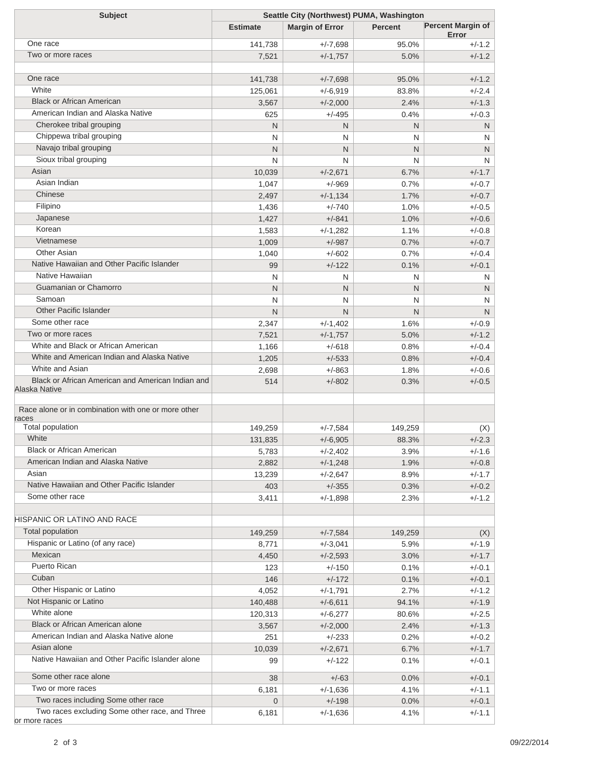| <b>Subject</b>                                      | Seattle City (Northwest) PUMA, Washington |                        |                |                                   |  |
|-----------------------------------------------------|-------------------------------------------|------------------------|----------------|-----------------------------------|--|
|                                                     | <b>Estimate</b>                           | <b>Margin of Error</b> | <b>Percent</b> | <b>Percent Margin of</b><br>Error |  |
| One race                                            | 141,738                                   | $+/-7,698$             | 95.0%          | $+/-1.2$                          |  |
| Two or more races                                   | 7,521                                     | $+/-1,757$             | 5.0%           | $+/-1.2$                          |  |
|                                                     |                                           |                        |                |                                   |  |
| One race                                            | 141,738                                   | $+/-7,698$             | 95.0%          | $+/-1.2$                          |  |
| White                                               | 125,061                                   | $+/-6,919$             | 83.8%          | $+/-2.4$                          |  |
| <b>Black or African American</b>                    | 3,567                                     | $+/-2,000$             | 2.4%           | $+/-1.3$                          |  |
| American Indian and Alaska Native                   | 625                                       | $+/-495$               | 0.4%           | $+/-0.3$                          |  |
| Cherokee tribal grouping                            | N                                         | N                      | N              | N                                 |  |
| Chippewa tribal grouping                            | N                                         | N                      | N              | N                                 |  |
| Navajo tribal grouping                              | N                                         | N                      | N              | N                                 |  |
| Sioux tribal grouping                               | N                                         | N                      | N              | N                                 |  |
| Asian                                               | 10,039                                    | $+/-2,671$             | 6.7%           | $+/-1.7$                          |  |
| Asian Indian                                        | 1,047                                     | $+/-969$               | 0.7%           | $+/-0.7$                          |  |
| Chinese                                             | 2,497                                     | $+/-1,134$             | 1.7%           | $+/-0.7$                          |  |
| Filipino                                            | 1,436                                     | $+/-740$               | 1.0%           | $+/-0.5$                          |  |
| Japanese                                            | 1,427                                     | $+/-841$               | 1.0%           | $+/-0.6$                          |  |
| Korean                                              | 1,583                                     | $+/-1,282$             | 1.1%           | $+/-0.8$                          |  |
| Vietnamese                                          | 1,009                                     | $+/-987$               | 0.7%           | $+/-0.7$                          |  |
| <b>Other Asian</b>                                  | 1,040                                     | $+/-602$               | 0.7%           | $+/-0.4$                          |  |
| Native Hawaiian and Other Pacific Islander          | 99                                        | $+/-122$               | 0.1%           | $+/-0.1$                          |  |
| Native Hawaiian                                     | N                                         | N                      | N              | N                                 |  |
| Guamanian or Chamorro                               | N                                         | N                      | N              | N                                 |  |
| Samoan                                              | N                                         | N                      | N              | N                                 |  |
| <b>Other Pacific Islander</b>                       | N                                         | N                      | N              | N                                 |  |
| Some other race                                     | 2,347                                     | $+/-1,402$             | 1.6%           | $+/-0.9$                          |  |
| Two or more races                                   | 7,521                                     | $+/-1,757$             | 5.0%           | $+/-1.2$                          |  |
| White and Black or African American                 | 1,166                                     | $+/-618$               | 0.8%           | $+/-0.4$                          |  |
| White and American Indian and Alaska Native         | 1,205                                     | $+/-533$               | 0.8%           | $+/-0.4$                          |  |
| White and Asian                                     | 2,698                                     | $+/-863$               | 1.8%           | $+/-0.6$                          |  |
| Black or African American and American Indian and   | 514                                       | $+/-802$               | 0.3%           | $+/-0.5$                          |  |
| Alaska Native                                       |                                           |                        |                |                                   |  |
| Race alone or in combination with one or more other |                                           |                        |                |                                   |  |
| races                                               |                                           |                        |                |                                   |  |
| Total population                                    | 149,259                                   | $+/-7,584$             | 149,259        | (X)                               |  |
| White                                               | 131,835                                   | $+/-6,905$             | 88.3%          | $+/-2.3$                          |  |
| <b>Black or African American</b>                    | 5,783                                     | $+/-2,402$             | 3.9%           | $+/-1.6$                          |  |
| American Indian and Alaska Native                   | 2,882                                     | $+/-1,248$             | 1.9%           | $+/-0.8$                          |  |
| Asian                                               | 13,239                                    | $+/-2,647$             | 8.9%           | $+/-1.7$                          |  |
| Native Hawaiian and Other Pacific Islander          | 403                                       | $+/-355$               | 0.3%           | $+/-0.2$                          |  |
| Some other race                                     | 3,411                                     | $+/-1,898$             | 2.3%           | +/-1.2                            |  |
| HISPANIC OR LATINO AND RACE                         |                                           |                        |                |                                   |  |
| <b>Total population</b>                             | 149,259                                   | $+/-7,584$             | 149,259        | (X)                               |  |
| Hispanic or Latino (of any race)                    | 8,771                                     | $+/-3,041$             | 5.9%           | $+/-1.9$                          |  |
| Mexican                                             | 4,450                                     | $+/-2,593$             | 3.0%           | $+/-1.7$                          |  |
| Puerto Rican                                        | 123                                       | $+/-150$               | 0.1%           | $+/-0.1$                          |  |
| Cuban                                               | 146                                       | $+/-172$               | 0.1%           | $+/-0.1$                          |  |
| Other Hispanic or Latino                            | 4,052                                     | $+/-1,791$             | 2.7%           | $+/-1.2$                          |  |
| Not Hispanic or Latino                              | 140,488                                   | $+/-6,611$             | 94.1%          | $+/-1.9$                          |  |
| White alone                                         | 120,313                                   | $+/-6,277$             | 80.6%          | $+/-2.5$                          |  |
| Black or African American alone                     | 3,567                                     | $+/-2,000$             | 2.4%           | $+/-1.3$                          |  |
| American Indian and Alaska Native alone             | 251                                       | $+/-233$               | 0.2%           | $+/-0.2$                          |  |
| Asian alone                                         | 10,039                                    | $+/-2,671$             | 6.7%           | $+/-1.7$                          |  |
| Native Hawaiian and Other Pacific Islander alone    | 99                                        | $+/-122$               | 0.1%           | $+/-0.1$                          |  |
| Some other race alone                               | 38                                        | $+/-63$                | 0.0%           | $+/-0.1$                          |  |
| Two or more races                                   | 6,181                                     | $+/-1,636$             | 4.1%           | $+/-1.1$                          |  |
| Two races including Some other race                 | $\mathbf 0$                               | $+/-198$               | 0.0%           | $+/-0.1$                          |  |
| Two races excluding Some other race, and Three      | 6,181                                     | $+/-1,636$             | 4.1%           | $+/-1.1$                          |  |
| or more races                                       |                                           |                        |                |                                   |  |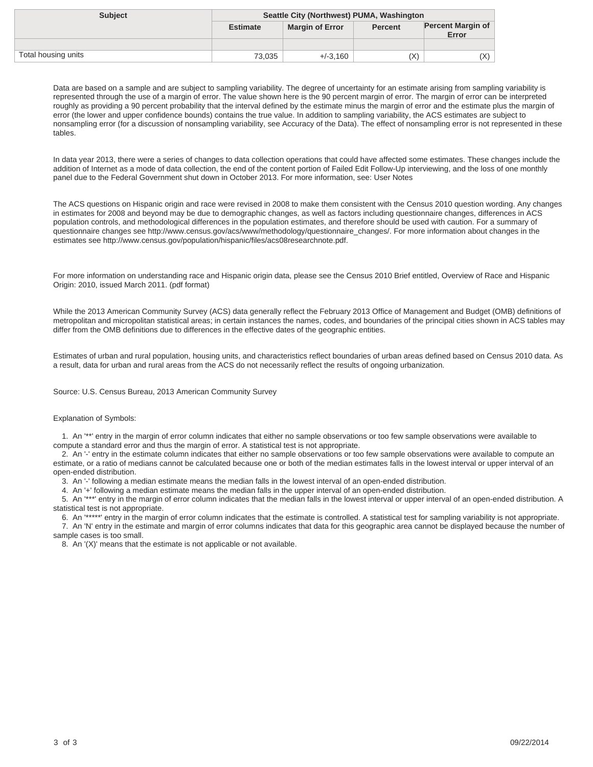| <b>Subject</b>      | Seattle City (Northwest) PUMA, Washington |                        |                |                                   |
|---------------------|-------------------------------------------|------------------------|----------------|-----------------------------------|
|                     | <b>Estimate</b>                           | <b>Margin of Error</b> | <b>Percent</b> | <b>Percent Margin of</b><br>Error |
|                     |                                           |                        |                |                                   |
| Total housing units | 73,035                                    | $+/-3.160$             | (X)            | X)                                |

In data year 2013, there were a series of changes to data collection operations that could have affected some estimates. These changes include the addition of Internet as a mode of data collection, the end of the content portion of Failed Edit Follow-Up interviewing, and the loss of one monthly panel due to the Federal Government shut down in October 2013. For more information, see: User Notes

The ACS questions on Hispanic origin and race were revised in 2008 to make them consistent with the Census 2010 question wording. Any changes in estimates for 2008 and beyond may be due to demographic changes, as well as factors including questionnaire changes, differences in ACS population controls, and methodological differences in the population estimates, and therefore should be used with caution. For a summary of questionnaire changes see http://www.census.gov/acs/www/methodology/questionnaire\_changes/. For more information about changes in the estimates see http://www.census.gov/population/hispanic/files/acs08researchnote.pdf.

For more information on understanding race and Hispanic origin data, please see the Census 2010 Brief entitled, Overview of Race and Hispanic Origin: 2010, issued March 2011. (pdf format)

While the 2013 American Community Survey (ACS) data generally reflect the February 2013 Office of Management and Budget (OMB) definitions of metropolitan and micropolitan statistical areas; in certain instances the names, codes, and boundaries of the principal cities shown in ACS tables may differ from the OMB definitions due to differences in the effective dates of the geographic entities.

Estimates of urban and rural population, housing units, and characteristics reflect boundaries of urban areas defined based on Census 2010 data. As a result, data for urban and rural areas from the ACS do not necessarily reflect the results of ongoing urbanization.

Source: U.S. Census Bureau, 2013 American Community Survey

#### Explanation of Symbols:

 1. An '\*\*' entry in the margin of error column indicates that either no sample observations or too few sample observations were available to compute a standard error and thus the margin of error. A statistical test is not appropriate.

 2. An '-' entry in the estimate column indicates that either no sample observations or too few sample observations were available to compute an estimate, or a ratio of medians cannot be calculated because one or both of the median estimates falls in the lowest interval or upper interval of an open-ended distribution.

3. An '-' following a median estimate means the median falls in the lowest interval of an open-ended distribution.

4. An '+' following a median estimate means the median falls in the upper interval of an open-ended distribution.

 5. An '\*\*\*' entry in the margin of error column indicates that the median falls in the lowest interval or upper interval of an open-ended distribution. A statistical test is not appropriate.

 6. An '\*\*\*\*\*' entry in the margin of error column indicates that the estimate is controlled. A statistical test for sampling variability is not appropriate. 7. An 'N' entry in the estimate and margin of error columns indicates that data for this geographic area cannot be displayed because the number of sample cases is too small.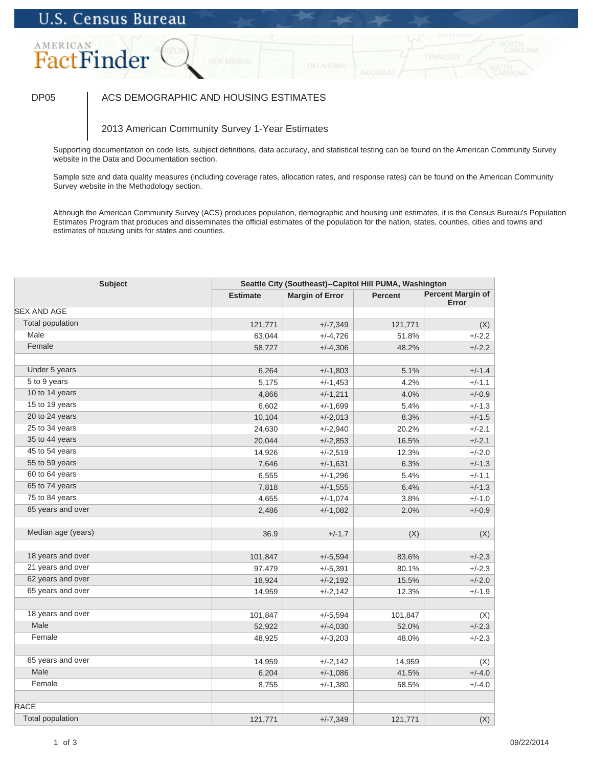### DP05 | ACS DEMOGRAPHIC AND HOUSING ESTIMATES

### 2013 American Community Survey 1-Year Estimates

Supporting documentation on code lists, subject definitions, data accuracy, and statistical testing can be found on the American Community Survey website in the Data and Documentation section.

Sample size and data quality measures (including coverage rates, allocation rates, and response rates) can be found on the American Community Survey website in the Methodology section.

| <b>Subject</b>          | Seattle City (Southeast)--Capitol Hill PUMA, Washington |                        |                |                                   |
|-------------------------|---------------------------------------------------------|------------------------|----------------|-----------------------------------|
|                         | <b>Estimate</b>                                         | <b>Margin of Error</b> | <b>Percent</b> | <b>Percent Margin of</b><br>Error |
| <b>SEX AND AGE</b>      |                                                         |                        |                |                                   |
| <b>Total population</b> | 121,771                                                 | $+/-7,349$             | 121,771        | (X)                               |
| Male                    | 63,044                                                  | $+/-4,726$             | 51.8%          | $+/-2.2$                          |
| Female                  | 58,727                                                  | $+/-4,306$             | 48.2%          | $+/-2.2$                          |
|                         |                                                         |                        |                |                                   |
| Under 5 years           | 6,264                                                   | $+/-1,803$             | 5.1%           | $+/-1.4$                          |
| 5 to 9 years            | 5,175                                                   | $+/-1,453$             | 4.2%           | $+/-1.1$                          |
| 10 to 14 years          | 4,866                                                   | $+/-1,211$             | 4.0%           | $+/-0.9$                          |
| 15 to 19 years          | 6,602                                                   | $+/-1,699$             | 5.4%           | $+/-1.3$                          |
| 20 to 24 years          | 10,104                                                  | $+/-2,013$             | 8.3%           | $+/-1.5$                          |
| 25 to 34 years          | 24,630                                                  | $+/-2,940$             | 20.2%          | $+/-2.1$                          |
| 35 to 44 years          | 20,044                                                  | $+/-2,853$             | 16.5%          | $+/-2.1$                          |
| 45 to 54 years          | 14,926                                                  | $+/-2,519$             | 12.3%          | $+/-2.0$                          |
| 55 to 59 years          | 7,646                                                   | $+/-1,631$             | 6.3%           | $+/-1.3$                          |
| 60 to 64 years          | 6,555                                                   | $+/-1,296$             | 5.4%           | $+/-1.1$                          |
| 65 to 74 years          | 7,818                                                   | $+/-1,555$             | 6.4%           | $+/-1.3$                          |
| 75 to 84 years          | 4,655                                                   | $+/-1,074$             | 3.8%           | $+/-1.0$                          |
| 85 years and over       | 2,486                                                   | $+/-1,082$             | 2.0%           | $+/-0.9$                          |
| Median age (years)      | 36.9                                                    | $+/-1.7$               | (X)            | (X)                               |
| 18 years and over       | 101,847                                                 | $+/-5,594$             | 83.6%          | $+/-2.3$                          |
| 21 years and over       | 97,479                                                  | $+/-5,391$             | 80.1%          | $+/-2.3$                          |
| 62 years and over       | 18,924                                                  | $+/-2,192$             | 15.5%          | $+/-2.0$                          |
| 65 years and over       | 14,959                                                  | $+/-2,142$             | 12.3%          | $+/-1.9$                          |
|                         |                                                         |                        |                |                                   |
| 18 years and over       | 101,847                                                 | $+/-5,594$             | 101,847        | (X)                               |
| Male                    | 52,922                                                  | $+/-4,030$             | 52.0%          | $+/-2.3$                          |
| Female                  | 48,925                                                  | $+/-3,203$             | 48.0%          | $+/-2.3$                          |
|                         |                                                         |                        |                |                                   |
| 65 years and over       | 14,959                                                  | $+/-2,142$             | 14,959         | (X)                               |
| Male                    | 6,204                                                   | $+/-1,086$             | 41.5%          | $+/-4.0$                          |
| Female                  | 8,755                                                   | $+/-1,380$             | 58.5%          | $+/-4.0$                          |
| <b>RACE</b>             |                                                         |                        |                |                                   |
| <b>Total population</b> | 121,771                                                 | $+/-7,349$             | 121,771        | (X)                               |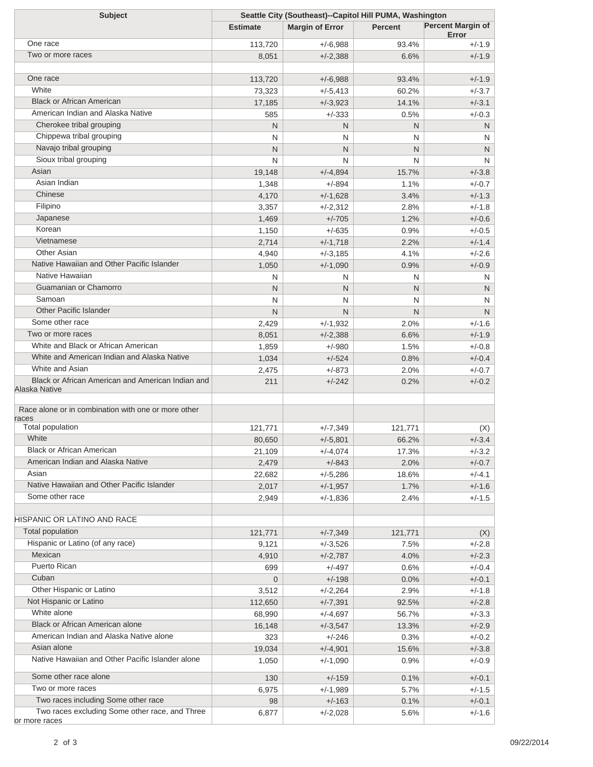| <b>Subject</b>                                                  | Seattle City (Southeast)--Capitol Hill PUMA, Washington |                        |                |                                   |
|-----------------------------------------------------------------|---------------------------------------------------------|------------------------|----------------|-----------------------------------|
|                                                                 | <b>Estimate</b>                                         | <b>Margin of Error</b> | <b>Percent</b> | <b>Percent Margin of</b><br>Error |
| One race                                                        | 113,720                                                 | $+/-6,988$             | 93.4%          | +/-1.9                            |
| Two or more races                                               | 8,051                                                   | $+/-2,388$             | 6.6%           | $+/-1.9$                          |
|                                                                 |                                                         |                        |                |                                   |
| One race                                                        | 113,720                                                 | $+/-6,988$             | 93.4%          | $+/-1.9$                          |
| White                                                           | 73,323                                                  | $+/-5,413$             | 60.2%          | $+/-3.7$                          |
| <b>Black or African American</b>                                | 17,185                                                  | $+/-3,923$             | 14.1%          | $+/-3.1$                          |
| American Indian and Alaska Native                               | 585                                                     | $+/-333$               | 0.5%           | $+/-0.3$                          |
| Cherokee tribal grouping                                        | N                                                       | N                      | N              | N                                 |
| Chippewa tribal grouping                                        | N                                                       | N                      | N              | N                                 |
| Navajo tribal grouping                                          | N                                                       | N                      | N              | N                                 |
| Sioux tribal grouping                                           | N                                                       | N                      | N              | N                                 |
| Asian                                                           | 19,148                                                  | $+/-4,894$             | 15.7%          | $+/-3.8$                          |
| Asian Indian                                                    | 1,348                                                   | $+/-894$               | 1.1%           | $+/-0.7$                          |
| Chinese                                                         | 4,170                                                   | $+/-1,628$             | 3.4%           | $+/-1.3$                          |
| Filipino                                                        | 3,357                                                   | $+/-2,312$             | 2.8%           | $+/-1.8$                          |
| Japanese                                                        | 1,469                                                   | $+/-705$               | 1.2%           | $+/-0.6$                          |
| Korean                                                          | 1,150                                                   | $+/-635$               | 0.9%           | $+/-0.5$                          |
| Vietnamese                                                      | 2,714                                                   | $+/-1,718$             | 2.2%           | $+/-1.4$                          |
| Other Asian                                                     | 4,940                                                   | $+/-3,185$             | 4.1%           | $+/-2.6$                          |
| Native Hawaiian and Other Pacific Islander                      | 1,050                                                   | $+/-1,090$             | 0.9%           | $+/-0.9$                          |
| Native Hawaiian                                                 | N                                                       | N                      | N              | N                                 |
| Guamanian or Chamorro                                           | N                                                       | N                      | N              | N                                 |
| Samoan                                                          | N                                                       | N                      | N              | N                                 |
| <b>Other Pacific Islander</b>                                   | N                                                       | N                      | N              | N                                 |
| Some other race                                                 | 2,429                                                   | $+/-1,932$             | 2.0%           | $+/-1.6$                          |
| Two or more races                                               | 8,051                                                   | $+/-2,388$             | 6.6%           | $+/-1.9$                          |
| White and Black or African American                             | 1,859                                                   | $+/-980$               | 1.5%           | $+/-0.8$                          |
| White and American Indian and Alaska Native                     | 1,034                                                   | $+/-524$               | 0.8%           | $+/-0.4$                          |
| White and Asian                                                 | 2,475                                                   | $+/-873$               | 2.0%           | $+/-0.7$                          |
| Black or African American and American Indian and               | 211                                                     | $+/-242$               | 0.2%           | $+/-0.2$                          |
| Alaska Native                                                   |                                                         |                        |                |                                   |
| Race alone or in combination with one or more other             |                                                         |                        |                |                                   |
| races                                                           |                                                         |                        |                |                                   |
| Total population                                                | 121,771                                                 | $+/-7,349$             | 121,771        | (X)                               |
| White                                                           | 80,650                                                  | $+/-5,801$             | 66.2%          | $+/-3.4$                          |
| <b>Black or African American</b>                                | 21,109                                                  | $+/-4,074$             | 17.3%          | $+/-3.2$                          |
| American Indian and Alaska Native                               | 2,479                                                   | $+/-843$               | 2.0%           | $+/-0.7$                          |
| Asian                                                           | 22,682                                                  | $+/-5,286$             | 18.6%          | $+/-4.1$                          |
| Native Hawaiian and Other Pacific Islander                      | 2,017                                                   | $+/-1,957$             | 1.7%           | $+/-1.6$                          |
| Some other race                                                 | 2,949                                                   | $+/-1,836$             | 2.4%           | $+/-1.5$                          |
| HISPANIC OR LATINO AND RACE                                     |                                                         |                        |                |                                   |
| Total population                                                | 121,771                                                 | $+/-7,349$             | 121,771        | (X)                               |
| Hispanic or Latino (of any race)                                | 9,121                                                   | $+/-3,526$             | 7.5%           | $+/-2.8$                          |
| Mexican                                                         | 4,910                                                   | $+/-2,787$             | 4.0%           | $+/-2.3$                          |
| Puerto Rican                                                    | 699                                                     | $+/-497$               | 0.6%           | $+/-0.4$                          |
| Cuban                                                           | $\overline{0}$                                          | $+/-198$               | 0.0%           | $+/-0.1$                          |
| Other Hispanic or Latino                                        | 3,512                                                   | $+/-2,264$             | 2.9%           | $+/-1.8$                          |
| Not Hispanic or Latino                                          | 112,650                                                 | $+/-7,391$             | 92.5%          | $+/-2.8$                          |
| White alone                                                     | 68,990                                                  |                        | 56.7%          | $+/-3.3$                          |
| Black or African American alone                                 |                                                         | $+/-4,697$             |                |                                   |
| American Indian and Alaska Native alone                         | 16,148                                                  | $+/-3,547$             | 13.3%          | $+/-2.9$                          |
| Asian alone                                                     | 323                                                     | $+/-246$               | 0.3%           | $+/-0.2$                          |
| Native Hawaiian and Other Pacific Islander alone                | 19,034                                                  | $+/-4,901$             | 15.6%          | $+/-3.8$                          |
|                                                                 | 1,050                                                   | $+/-1,090$             | 0.9%           | $+/-0.9$                          |
| Some other race alone                                           | 130                                                     | $+/-159$               | 0.1%           | $+/-0.1$                          |
| Two or more races                                               | 6,975                                                   | $+/-1,989$             | 5.7%           | $+/-1.5$                          |
| Two races including Some other race                             | 98                                                      | $+/-163$               | 0.1%           | $+/-0.1$                          |
| Two races excluding Some other race, and Three<br>or more races | 6,877                                                   | $+/-2,028$             | 5.6%           | $+/-1.6$                          |
|                                                                 |                                                         |                        |                |                                   |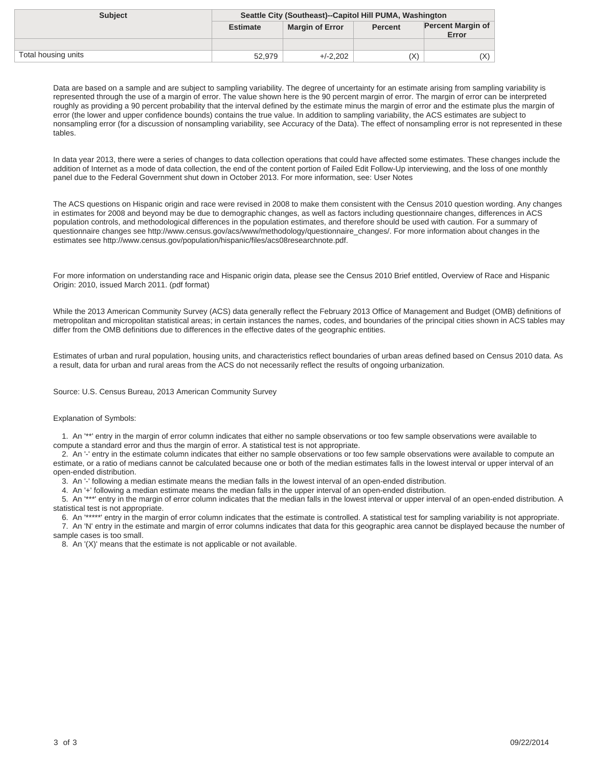| <b>Subject</b>      | Seattle City (Southeast)--Capitol Hill PUMA, Washington |                        |                |                                   |
|---------------------|---------------------------------------------------------|------------------------|----------------|-----------------------------------|
|                     | <b>Estimate</b>                                         | <b>Margin of Error</b> | <b>Percent</b> | <b>Percent Margin of</b><br>Error |
|                     |                                                         |                        |                |                                   |
| Total housing units | 52.979                                                  | $+/-2.202$             | (X)            | (X)                               |

In data year 2013, there were a series of changes to data collection operations that could have affected some estimates. These changes include the addition of Internet as a mode of data collection, the end of the content portion of Failed Edit Follow-Up interviewing, and the loss of one monthly panel due to the Federal Government shut down in October 2013. For more information, see: User Notes

The ACS questions on Hispanic origin and race were revised in 2008 to make them consistent with the Census 2010 question wording. Any changes in estimates for 2008 and beyond may be due to demographic changes, as well as factors including questionnaire changes, differences in ACS population controls, and methodological differences in the population estimates, and therefore should be used with caution. For a summary of questionnaire changes see http://www.census.gov/acs/www/methodology/questionnaire\_changes/. For more information about changes in the estimates see http://www.census.gov/population/hispanic/files/acs08researchnote.pdf.

For more information on understanding race and Hispanic origin data, please see the Census 2010 Brief entitled, Overview of Race and Hispanic Origin: 2010, issued March 2011. (pdf format)

While the 2013 American Community Survey (ACS) data generally reflect the February 2013 Office of Management and Budget (OMB) definitions of metropolitan and micropolitan statistical areas; in certain instances the names, codes, and boundaries of the principal cities shown in ACS tables may differ from the OMB definitions due to differences in the effective dates of the geographic entities.

Estimates of urban and rural population, housing units, and characteristics reflect boundaries of urban areas defined based on Census 2010 data. As a result, data for urban and rural areas from the ACS do not necessarily reflect the results of ongoing urbanization.

Source: U.S. Census Bureau, 2013 American Community Survey

#### Explanation of Symbols:

 1. An '\*\*' entry in the margin of error column indicates that either no sample observations or too few sample observations were available to compute a standard error and thus the margin of error. A statistical test is not appropriate.

 2. An '-' entry in the estimate column indicates that either no sample observations or too few sample observations were available to compute an estimate, or a ratio of medians cannot be calculated because one or both of the median estimates falls in the lowest interval or upper interval of an open-ended distribution.

3. An '-' following a median estimate means the median falls in the lowest interval of an open-ended distribution.

4. An '+' following a median estimate means the median falls in the upper interval of an open-ended distribution.

 5. An '\*\*\*' entry in the margin of error column indicates that the median falls in the lowest interval or upper interval of an open-ended distribution. A statistical test is not appropriate.

 6. An '\*\*\*\*\*' entry in the margin of error column indicates that the estimate is controlled. A statistical test for sampling variability is not appropriate. 7. An 'N' entry in the estimate and margin of error columns indicates that data for this geographic area cannot be displayed because the number of sample cases is too small.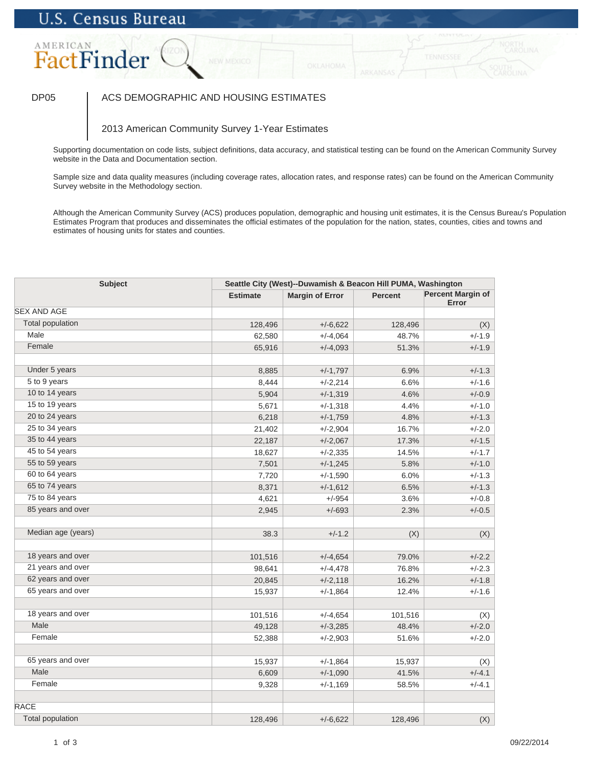### DP05 | ACS DEMOGRAPHIC AND HOUSING ESTIMATES

### 2013 American Community Survey 1-Year Estimates

Supporting documentation on code lists, subject definitions, data accuracy, and statistical testing can be found on the American Community Survey website in the Data and Documentation section.

Sample size and data quality measures (including coverage rates, allocation rates, and response rates) can be found on the American Community Survey website in the Methodology section.

| <b>Subject</b>          |                 | Seattle City (West)--Duwamish & Beacon Hill PUMA, Washington |                |                                   |  |
|-------------------------|-----------------|--------------------------------------------------------------|----------------|-----------------------------------|--|
|                         | <b>Estimate</b> | <b>Margin of Error</b>                                       | <b>Percent</b> | <b>Percent Margin of</b><br>Error |  |
| <b>SEX AND AGE</b>      |                 |                                                              |                |                                   |  |
| <b>Total population</b> | 128,496         | $+/-6,622$                                                   | 128,496        | (X)                               |  |
| Male                    | 62,580          | $+/-4,064$                                                   | 48.7%          | $+/-1.9$                          |  |
| Female                  | 65,916          | $+/-4,093$                                                   | 51.3%          | $+/-1.9$                          |  |
| Under 5 years           | 8,885           | $+/-1,797$                                                   | 6.9%           | $+/-1.3$                          |  |
| 5 to 9 years            | 8,444           | $+/-2,214$                                                   | 6.6%           | $+/-1.6$                          |  |
| 10 to 14 years          | 5,904           | $+/-1,319$                                                   | 4.6%           | $+/-0.9$                          |  |
| 15 to 19 years          | 5,671           | $+/-1,318$                                                   | 4.4%           | $+/-1.0$                          |  |
| 20 to 24 years          | 6,218           | $+/-1,759$                                                   | 4.8%           | $+/-1.3$                          |  |
| 25 to 34 years          | 21,402          | $+/-2,904$                                                   | 16.7%          | $+/-2.0$                          |  |
| 35 to 44 years          | 22,187          | $+/-2,067$                                                   | 17.3%          | $+/-1.5$                          |  |
| 45 to 54 years          | 18,627          | $+/-2,335$                                                   | 14.5%          | $+/-1.7$                          |  |
| 55 to 59 years          | 7,501           | $+/-1,245$                                                   | 5.8%           | $+/-1.0$                          |  |
| 60 to 64 years          | 7,720           | $+/-1,590$                                                   | 6.0%           | $+/-1.3$                          |  |
| 65 to 74 years          | 8,371           | $+/-1,612$                                                   | 6.5%           | $+/-1.3$                          |  |
| 75 to 84 years          | 4,621           | $+/-954$                                                     | 3.6%           | $+/-0.8$                          |  |
| 85 years and over       | 2,945           | $+/-693$                                                     | 2.3%           | $+/-0.5$                          |  |
| Median age (years)      | 38.3            | $+/-1.2$                                                     | (X)            | (X)                               |  |
| 18 years and over       | 101,516         | $+/-4,654$                                                   | 79.0%          | $+/-2.2$                          |  |
| 21 years and over       | 98,641          | $+/-4,478$                                                   | 76.8%          | $+/-2.3$                          |  |
| 62 years and over       | 20,845          | $+/-2,118$                                                   | 16.2%          | $+/-1.8$                          |  |
| 65 years and over       | 15,937          | $+/-1,864$                                                   | 12.4%          | $+/-1.6$                          |  |
| 18 years and over       | 101,516         | $+/-4,654$                                                   | 101,516        | (X)                               |  |
| Male                    | 49,128          | $+/-3,285$                                                   | 48.4%          | $+/-2.0$                          |  |
| Female                  | 52,388          | $+/-2,903$                                                   | 51.6%          | $+/-2.0$                          |  |
|                         |                 |                                                              |                |                                   |  |
| 65 years and over       | 15,937          | $+/-1,864$                                                   | 15,937         | (X)                               |  |
| Male                    | 6,609           | $+/-1,090$                                                   | 41.5%          | $+/-4.1$                          |  |
| Female                  | 9,328           | $+/-1,169$                                                   | 58.5%          | $+/-4.1$                          |  |
| <b>RACE</b>             |                 |                                                              |                |                                   |  |
| <b>Total population</b> | 128,496         | $+/-6,622$                                                   | 128,496        | (X)                               |  |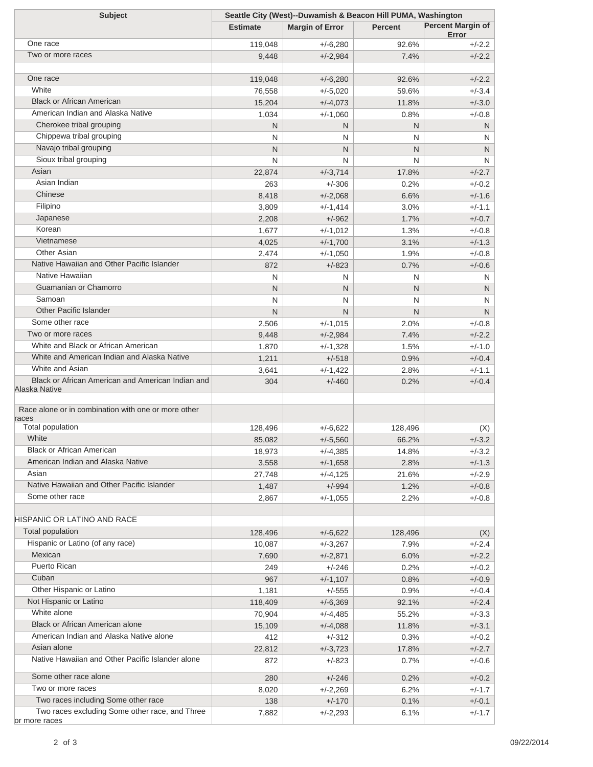| <b>Subject</b>                                      | Seattle City (West)--Duwamish & Beacon Hill PUMA, Washington |                        |                |                                   |
|-----------------------------------------------------|--------------------------------------------------------------|------------------------|----------------|-----------------------------------|
|                                                     | <b>Estimate</b>                                              | <b>Margin of Error</b> | <b>Percent</b> | <b>Percent Margin of</b><br>Error |
| One race                                            | 119,048                                                      | $+/-6,280$             | 92.6%          | +/-2.2                            |
| Two or more races                                   | 9,448                                                        | $+/-2,984$             | 7.4%           | $+/-2.2$                          |
|                                                     |                                                              |                        |                |                                   |
| One race                                            | 119,048                                                      | $+/-6,280$             | 92.6%          | $+/-2.2$                          |
| White                                               | 76,558                                                       | $+/-5,020$             | 59.6%          | $+/-3.4$                          |
| <b>Black or African American</b>                    | 15,204                                                       | $+/-4,073$             | 11.8%          | $+/-3.0$                          |
| American Indian and Alaska Native                   | 1,034                                                        | $+/-1,060$             | 0.8%           | $+/-0.8$                          |
| Cherokee tribal grouping                            | N                                                            | N                      | N              | N                                 |
| Chippewa tribal grouping                            | N                                                            | N                      | N              | N                                 |
| Navajo tribal grouping                              | N                                                            | N                      | N              | N                                 |
| Sioux tribal grouping                               | N                                                            | N                      | N              | N                                 |
| Asian                                               | 22,874                                                       | $+/-3,714$             | 17.8%          | $+/-2.7$                          |
| Asian Indian                                        | 263                                                          | $+/-306$               | 0.2%           | $+/-0.2$                          |
| Chinese                                             | 8,418                                                        | $+/-2,068$             | 6.6%           | $+/-1.6$                          |
| Filipino                                            | 3,809                                                        | $+/-1,414$             | 3.0%           | $+/-1.1$                          |
| Japanese                                            | 2,208                                                        | $+/-962$               | 1.7%           | $+/-0.7$                          |
| Korean                                              | 1,677                                                        | $+/-1,012$             | 1.3%           | $+/-0.8$                          |
| Vietnamese                                          | 4,025                                                        | $+/-1,700$             | 3.1%           | $+/-1.3$                          |
| Other Asian                                         | 2,474                                                        | $+/-1,050$             | 1.9%           | $+/-0.8$                          |
| Native Hawaiian and Other Pacific Islander          | 872                                                          | $+/-823$               | 0.7%           | $+/-0.6$                          |
| Native Hawaiian                                     | N                                                            | N                      | N              | N                                 |
| Guamanian or Chamorro                               | N                                                            | N                      | N              | N                                 |
| Samoan                                              | N                                                            | N                      | N              | N                                 |
| <b>Other Pacific Islander</b>                       | N                                                            | N.                     | N              | N                                 |
| Some other race                                     | 2,506                                                        | $+/-1,015$             | 2.0%           | $+/-0.8$                          |
| Two or more races                                   | 9,448                                                        | $+/-2,984$             | 7.4%           | $+/-2.2$                          |
| White and Black or African American                 | 1,870                                                        | $+/-1,328$             | 1.5%           | $+/-1.0$                          |
| White and American Indian and Alaska Native         | 1,211                                                        | $+/-518$               | 0.9%           | $+/-0.4$                          |
| White and Asian                                     | 3,641                                                        | $+/-1,422$             | 2.8%           | $+/-1.1$                          |
| Black or African American and American Indian and   | 304                                                          | $+/-460$               | 0.2%           | $+/-0.4$                          |
| Alaska Native                                       |                                                              |                        |                |                                   |
| Race alone or in combination with one or more other |                                                              |                        |                |                                   |
| races                                               |                                                              |                        |                |                                   |
| Total population                                    | 128,496                                                      | $+/-6,622$             | 128,496        | (X)                               |
| White                                               | 85,082                                                       | $+/-5,560$             | 66.2%          | $+/-3.2$                          |
| <b>Black or African American</b>                    | 18,973                                                       | $+/-4,385$             | 14.8%          | $+/-3.2$                          |
| American Indian and Alaska Native                   | 3,558                                                        | $+/-1,658$             | 2.8%           | $+/-1.3$                          |
| Asian                                               | 27,748                                                       | $+/-4,125$             | 21.6%          | $+/-2.9$                          |
| Native Hawaiian and Other Pacific Islander          | 1,487                                                        | $+/-994$               | 1.2%           | $+/-0.8$                          |
| Some other race                                     | 2,867                                                        | $+/-1,055$             | 2.2%           | $+/-0.8$                          |
|                                                     |                                                              |                        |                |                                   |
| HISPANIC OR LATINO AND RACE                         |                                                              |                        |                |                                   |
| Total population                                    | 128,496                                                      | $+/-6,622$             | 128,496        | (X)                               |
| Hispanic or Latino (of any race)                    | 10,087                                                       | $+/-3,267$             | 7.9%           | $+/-2.4$                          |
| Mexican                                             | 7,690                                                        | $+/-2,871$             | 6.0%           | $+/-2.2$                          |
| <b>Puerto Rican</b>                                 | 249                                                          | $+/-246$               | 0.2%           | $+/-0.2$                          |
| Cuban                                               | 967                                                          | $+/-1,107$             | 0.8%           | $+/-0.9$                          |
| Other Hispanic or Latino                            | 1,181                                                        | $+/-555$               | 0.9%           | $+/-0.4$                          |
| Not Hispanic or Latino                              | 118,409                                                      | $+/-6,369$             | 92.1%          | $+/-2.4$                          |
| White alone                                         | 70,904                                                       | $+/-4,485$             | 55.2%          | $+/-3.3$                          |
| Black or African American alone                     | 15,109                                                       | $+/-4,088$             | 11.8%          | $+/-3.1$                          |
| American Indian and Alaska Native alone             | 412                                                          | $+/-312$               | 0.3%           | $+/-0.2$                          |
| Asian alone                                         | 22,812                                                       | $+/-3,723$             | 17.8%          | $+/-2.7$                          |
| Native Hawaiian and Other Pacific Islander alone    | 872                                                          | $+/-823$               | 0.7%           | $+/-0.6$                          |
| Some other race alone                               | 280                                                          | $+/-246$               | 0.2%           | $+/-0.2$                          |
| Two or more races                                   | 8,020                                                        | $+/-2,269$             | 6.2%           | $+/-1.7$                          |
| Two races including Some other race                 | 138                                                          | $+/-170$               | 0.1%           | $+/-0.1$                          |
| Two races excluding Some other race, and Three      | 7,882                                                        | $+/-2,293$             | 6.1%           | $+/-1.7$                          |
| or more races                                       |                                                              |                        |                |                                   |